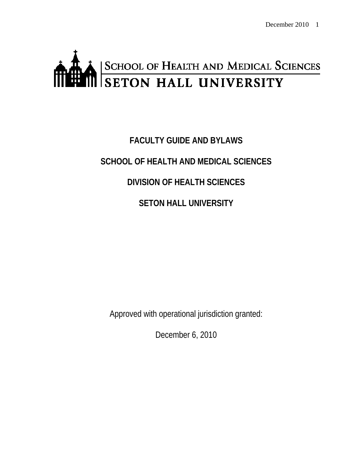# SCHOOL OF HEALTH AND MEDICAL SCIENCES ff

# **FACULTY GUIDE AND BYLAWS SCHOOL OF HEALTH AND MEDICAL SCIENCES DIVISION OF HEALTH SCIENCES SETON HALL UNIVERSITY**

Approved with operational jurisdiction granted:

December 6, 2010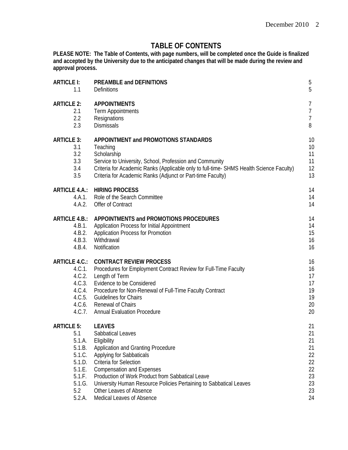# **TABLE OF CONTENTS**

**PLEASE NOTE: The Table of Contents, with page numbers, will be completed once the Guide is finalized and accepted by the University due to the anticipated changes that will be made during the review and approval process.** 

| <b>ARTICLE I:</b>    | PREAMBLE and DEFINITIONS                                                                | $\overline{5}$ |
|----------------------|-----------------------------------------------------------------------------------------|----------------|
| 1.1                  | <b>Definitions</b>                                                                      | 5              |
| <b>ARTICLE 2:</b>    | <b>APPOINTMENTS</b>                                                                     | 7              |
| 2.1                  | <b>Term Appointments</b>                                                                | $\overline{1}$ |
| 2.2                  | Resignations                                                                            | $\overline{7}$ |
| 2.3                  | Dismissals                                                                              | 8              |
| <b>ARTICLE 3:</b>    | APPOINTMENT and PROMOTIONS STANDARDS                                                    | 10             |
| 3.1                  | Teaching                                                                                | 10             |
| 3.2                  | Scholarship                                                                             | 11             |
| 3.3                  | Service to University, School, Profession and Community                                 | 11             |
| 3.4                  | Criteria for Academic Ranks (Applicable only to full-time- SHMS Health Science Faculty) | 12             |
| 3.5                  | Criteria for Academic Ranks (Adjunct or Part-time Faculty)                              | 13             |
| <b>ARTICLE 4.A.:</b> | <b>HIRING PROCESS</b>                                                                   | 14             |
| 4.A.1.               | Role of the Search Committee                                                            | 14             |
| 4.A.2.               | Offer of Contract                                                                       | 14             |
| <b>ARTICLE 4.B.:</b> | APPOINTMENTS and PROMOTIONS PROCEDURES                                                  | 14             |
| 4.B.1.               | Application Process for Initial Appointment                                             | 14             |
| 4.B.2.               | <b>Application Process for Promotion</b>                                                | 15             |
| 4.B.3.               | Withdrawal                                                                              | 16             |
| 4.B.4.               | Notification                                                                            | 16             |
| <b>ARTICLE 4.C.:</b> | <b>CONTRACT REVIEW PROCESS</b>                                                          | 16             |
| 4.C.1.               | Procedures for Employment Contract Review for Full-Time Faculty                         | 16             |
| 4.C.2.               | Length of Term                                                                          | 17             |
| 4.C.3.               | Evidence to be Considered                                                               | 17             |
| 4.C.4.               | Procedure for Non-Renewal of Full-Time Faculty Contract                                 | 19             |
| 4.C.5.               | <b>Guidelines for Chairs</b>                                                            | 19             |
| 4.C.6.               | <b>Renewal of Chairs</b>                                                                | 20             |
| 4.C.7.               | <b>Annual Evaluation Procedure</b>                                                      | 20             |
| <b>ARTICLE 5:</b>    | <b>LEAVES</b>                                                                           | 21             |
| 5.1                  | Sabbatical Leaves                                                                       | 21             |
| 5.1.A.               | Eligibility                                                                             | 21             |
| 5.1.B.               | Application and Granting Procedure                                                      | 21             |
| 5.1.C.               | Applying for Sabbaticals                                                                | 22             |
| 5.1.D.               | Criteria for Selection                                                                  | 22             |
| 5.1.E.               | <b>Compensation and Expenses</b>                                                        | 22             |
| 5.1.F.               | Production of Work Product from Sabbatical Leave                                        | 23             |
| 5.1.G.               | University Human Resource Policies Pertaining to Sabbatical Leaves                      | 23             |
| 5.2                  | Other Leaves of Absence                                                                 | 23             |
| 5.2.A.               | Medical Leaves of Absence                                                               | 24             |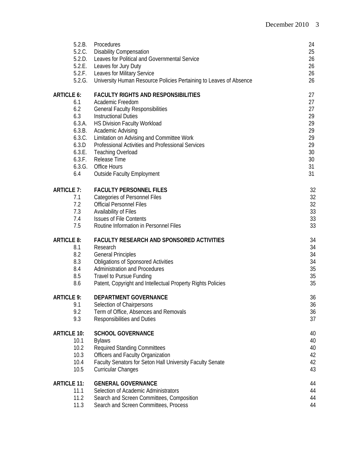| 5.2.B.             | Procedures                                                         | 24 |
|--------------------|--------------------------------------------------------------------|----|
| 5.2.C.             | <b>Disability Compensation</b>                                     | 25 |
| 5.2.D.             | Leaves for Political and Governmental Service                      | 26 |
| 5.2.E.             | Leaves for Jury Duty                                               | 26 |
| 5.2.F.             | Leaves for Military Service                                        | 26 |
| 5.2.G.             | University Human Resource Policies Pertaining to Leaves of Absence | 26 |
| <b>ARTICLE 6:</b>  | <b>FACULTY RIGHTS AND RESPONSIBILITIES</b>                         | 27 |
| 6.1                | Academic Freedom                                                   | 27 |
| 6.2                | <b>General Faculty Responsibilities</b>                            | 27 |
| 6.3                | <b>Instructional Duties</b>                                        | 29 |
| 6.3.A.             | HS Division Faculty Workload                                       | 29 |
| 6.3.B.             | Academic Advising                                                  | 29 |
| 6.3.C.             | Limitation on Advising and Committee Work                          | 29 |
| 6.3.D              | Professional Activities and Professional Services                  | 29 |
| 6.3.E.             | <b>Teaching Overload</b>                                           | 30 |
| 6.3.F.             | Release Time                                                       | 30 |
| 6.3.G.             | <b>Office Hours</b>                                                | 31 |
| 6.4                | <b>Outside Faculty Employment</b>                                  | 31 |
| <b>ARTICLE 7:</b>  | <b>FACULTY PERSONNEL FILES</b>                                     | 32 |
| 7.1                | <b>Categories of Personnel Files</b>                               | 32 |
| 7.2                | <b>Official Personnel Files</b>                                    | 32 |
| 7.3                | Availability of Files                                              | 33 |
| 7.4                | <b>Issues of File Contents</b>                                     | 33 |
| 7.5                | Routine Information in Personnel Files                             | 33 |
| <b>ARTICLE 8:</b>  | <b>FACULTY RESEARCH AND SPONSORED ACTIVITIES</b>                   | 34 |
| 8.1                | Research                                                           | 34 |
| 8.2                | <b>General Principles</b>                                          | 34 |
| 8.3                | <b>Obligations of Sponsored Activities</b>                         | 34 |
| 8.4                | <b>Administration and Procedures</b>                               | 35 |
| 8.5                | <b>Travel to Pursue Funding</b>                                    | 35 |
| 8.6                | Patent, Copyright and Intellectual Property Rights Policies        | 35 |
| <b>ARTICLE 9:</b>  | DEPARTMENT GOVERNANCE                                              | 36 |
| 9.1                | Selection of Chairpersons                                          | 36 |
| 9.2                | Term of Office, Absences and Removals                              | 36 |
| 9.3                | Responsibilities and Duties                                        | 37 |
| <b>ARTICLE 10:</b> | <b>SCHOOL GOVERNANCE</b>                                           | 40 |
| 10.1               | <b>Bylaws</b>                                                      | 40 |
| 10.2               | <b>Required Standing Committees</b>                                | 40 |
| 10.3               | Officers and Faculty Organization                                  | 42 |
| 10.4               | Faculty Senators for Seton Hall University Faculty Senate          | 42 |
| 10.5               | <b>Curricular Changes</b>                                          | 43 |
| <b>ARTICLE 11:</b> | <b>GENERAL GOVERNANCE</b>                                          | 44 |
| 11.1               | Selection of Academic Administrators                               | 44 |
| 11.2               | Search and Screen Committees, Composition                          | 44 |
| 11.3               | Search and Screen Committees, Process                              | 44 |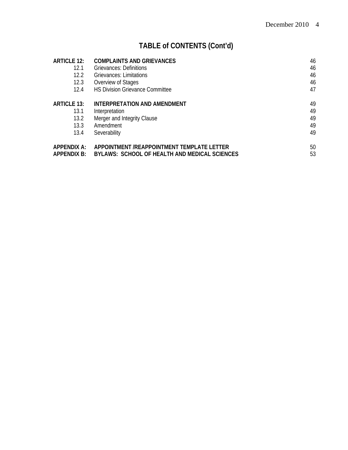# **TABLE of CONTENTS (Cont'd)**

| <b>ARTICLE 12:</b> | <b>COMPLAINTS AND GRIEVANCES</b>              | 46 |
|--------------------|-----------------------------------------------|----|
| 12.1               | Grievances: Definitions                       | 46 |
| 12.2               | Grievances: Limitations                       | 46 |
| 12.3               | Overview of Stages                            | 46 |
| 12.4               | <b>HS Division Grievance Committee</b>        | 47 |
| <b>ARTICLE 13:</b> | INTERPRETATION AND AMENDMENT                  | 49 |
| 13.1               | Interpretation                                | 49 |
| 13.2               | Merger and Integrity Clause                   | 49 |
| 13.3               | Amendment                                     | 49 |
| 13.4               | Severability                                  | 49 |
| APPENDIX A:        | APPOINTMENT /REAPPOINTMENT TEMPLATE LETTER    | 50 |
| <b>APPENDIX B:</b> | BYLAWS: SCHOOL OF HEALTH AND MEDICAL SCIENCES | 53 |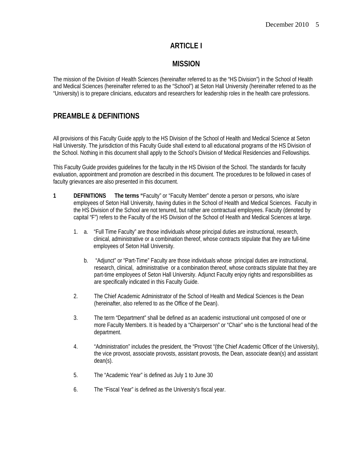# **ARTICLE I**

# **MISSION**

The mission of the Division of Health Sciences (hereinafter referred to as the "HS Division") in the School of Health and Medical Sciences (hereinafter referred to as the "School") at Seton Hall University (hereinafter referred to as the "University) is to prepare clinicians, educators and researchers for leadership roles in the health care professions.

# **PREAMBLE & DEFINITIONS**

All provisions of this Faculty Guide apply to the HS Division of the School of Health and Medical Science at Seton Hall University. The jurisdiction of this Faculty Guide shall extend to all educational programs of the HS Division of the School. Nothing in this document shall apply to the School's Division of Medical Residencies and Fellowships.

This Faculty Guide provides guidelines for the faculty in the HS Division of the School. The standards for faculty evaluation, appointment and promotion are described in this document. The procedures to be followed in cases of faculty grievances are also presented in this document.

- **1 DEFINITIONS The terms "**Faculty" or "Faculty Member" denote a person or persons, who is/are employees of Seton Hall University, having duties in the School of Health and Medical Sciences. Faculty in the HS Division of the School are not tenured, but rather are contractual employees. Faculty (denoted by capital "F") refers to the Faculty of the HS Division of the School of Health and Medical Sciences at large.
	- 1. a. "Full Time Faculty" are those individuals whose principal duties are instructional, research, clinical, administrative or a combination thereof, whose contracts stipulate that they are full-time employees of Seton Hall University.
		- b. "Adjunct" or "Part-Time" Faculty are those individuals whose principal duties are instructional, research, clinical, administrative or a combination thereof, whose contracts stipulate that they are part-time employees of Seton Hall University. Adjunct Faculty enjoy rights and responsibilities as are specifically indicated in this Faculty Guide.
	- 2. The Chief Academic Administrator of the School of Health and Medical Sciences is the Dean (hereinafter, also referred to as the Office of the Dean).
	- 3. The term "Department" shall be defined as an academic instructional unit composed of one or more Faculty Members. It is headed by a "Chairperson" or "Chair" who is the functional head of the department.
	- 4. "Administration" includes the president, the "Provost "(the Chief Academic Officer of the University), the vice provost, associate provosts, assistant provosts, the Dean, associate dean(s) and assistant dean(s).
	- 5. The "Academic Year" is defined as July 1 to June 30
	- 6. The "Fiscal Year" is defined as the University's fiscal year.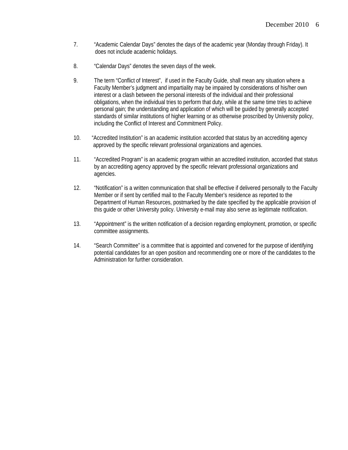- 7. "Academic Calendar Days" denotes the days of the academic year (Monday through Friday). It does not include academic holidays.
- 8. "Calendar Days" denotes the seven days of the week.
- 9. The term "Conflict of Interest", if used in the Faculty Guide, shall mean any situation where a Faculty Member's judgment and impartiality may be impaired by considerations of his/her own interest or a clash between the personal interests of the individual and their professional obligations, when the individual tries to perform that duty, while at the same time tries to achieve personal gain; the understanding and application of which will be guided by generally accepted standards of similar institutions of higher learning or as otherwise proscribed by University policy, including the Conflict of Interest and Commitment Policy.
- 10. "Accredited Institution" is an academic institution accorded that status by an accrediting agency approved by the specific relevant professional organizations and agencies.
- 11. "Accredited Program" is an academic program within an accredited institution, accorded that status by an accrediting agency approved by the specific relevant professional organizations and agencies.
- 12. "Notification" is a written communication that shall be effective if delivered personally to the Faculty Member or if sent by certified mail to the Faculty Member's residence as reported to the Department of Human Resources, postmarked by the date specified by the applicable provision of this guide or other University policy. University e-mail may also serve as legitimate notification.
- 13. "Appointment" is the written notification of a decision regarding employment, promotion, or specific committee assignments.
- 14. "Search Committee" is a committee that is appointed and convened for the purpose of identifying potential candidates for an open position and recommending one or more of the candidates to the Administration for further consideration.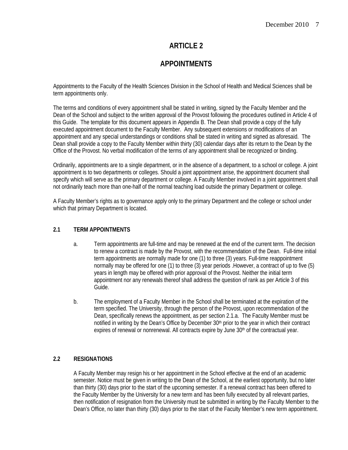# **APPOINTMENTS**

Appointments to the Faculty of the Health Sciences Division in the School of Health and Medical Sciences shall be term appointments only.

The terms and conditions of every appointment shall be stated in writing, signed by the Faculty Member and the Dean of the School and subject to the written approval of the Provost following the procedures outlined in Article 4 of this Guide. The template for this document appears in Appendix B. The Dean shall provide a copy of the fully executed appointment document to the Faculty Member. Any subsequent extensions or modifications of an appointment and any special understandings or conditions shall be stated in writing and signed as aforesaid. The Dean shall provide a copy to the Faculty Member within thirty (30) calendar days after its return to the Dean by the Office of the Provost. No verbal modification of the terms of any appointment shall be recognized or binding.

Ordinarily, appointments are to a single department, or in the absence of a department, to a school or college. A joint appointment is to two departments or colleges. Should a joint appointment arise, the appointment document shall specify which will serve as the primary department or college. A Faculty Member involved in a joint appointment shall not ordinarily teach more than one-half of the normal teaching load outside the primary Department or college.

A Faculty Member's rights as to governance apply only to the primary Department and the college or school under which that primary Department is located.

# **2.1 TERM APPOINTMENTS**

- a. Term appointments are full-time and may be renewed at the end of the current term. The decision to renew a contract is made by the Provost, with the recommendation of the Dean. Full-time initial term appointments are normally made for one (1) to three (3) years. Full-time reappointment normally may be offered for one (1) to three (3) year periods .However, a contract of up to five (5) years in length may be offered with prior approval of the Provost. Neither the initial term appointment nor any renewals thereof shall address the question of rank as per Article 3 of this Guide.
- b. The employment of a Faculty Member in the School shall be terminated at the expiration of the term specified. The University, through the person of the Provost, upon recommendation of the Dean, specifically renews the appointment, as per section 2.1.a. The Faculty Member must be notified in writing by the Dean's Office by December 30<sup>th</sup> prior to the year in which their contract expires of renewal or nonrenewal. All contracts expire by June  $30<sup>th</sup>$  of the contractual year.

## **2.2 RESIGNATIONS**

A Faculty Member may resign his or her appointment in the School effective at the end of an academic semester. Notice must be given in writing to the Dean of the School, at the earliest opportunity, but no later than thirty (30) days prior to the start of the upcoming semester. If a renewal contract has been offered to the Faculty Member by the University for a new term and has been fully executed by all relevant parties, then notification of resignation from the University must be submitted in writing by the Faculty Member to the Dean's Office, no later than thirty (30) days prior to the start of the Faculty Member's new term appointment.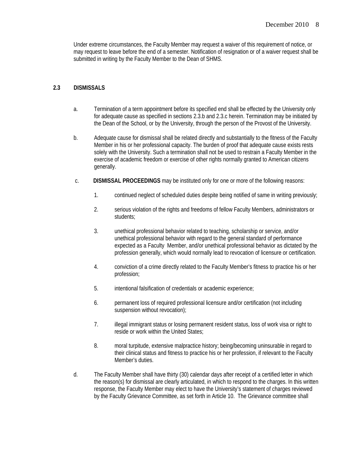Under extreme circumstances, the Faculty Member may request a waiver of this requirement of notice, or may request to leave before the end of a semester. Notification of resignation or of a waiver request shall be submitted in writing by the Faculty Member to the Dean of SHMS.

## **2.3 DISMISSALS**

- a. Termination of a term appointment before its specified end shall be effected by the University only for adequate cause as specified in sections 2.3.b and 2.3.c herein. Termination may be initiated by the Dean of the School, or by the University, through the person of the Provost of the University.
- b.Adequate cause for dismissal shall be related directly and substantially to the fitness of the Faculty Member in his or her professional capacity. The burden of proof that adequate cause exists rests solely with the University. Such a termination shall not be used to restrain a Faculty Member in the exercise of academic freedom or exercise of other rights normally granted to American citizens generally.
- c. **DISMISSAL PROCEEDINGS** may be instituted only for one or more of the following reasons:
	- 1. continued neglect of scheduled duties despite being notified of same in writing previously;
	- 2. serious violation of the rights and freedoms of fellow Faculty Members, administrators or students;
	- 3. unethical professional behavior related to teaching, scholarship or service, and/or unethical professional behavior with regard to the general standard of performance expected as a Faculty Member, and/or unethical professional behavior as dictated by the profession generally, which would normally lead to revocation of licensure or certification.
	- 4. conviction of a crime directly related to the Faculty Member's fitness to practice his or her profession;
	- 5. intentional falsification of credentials or academic experience;
	- 6. permanent loss of required professional licensure and/or certification (not including suspension without revocation);
	- 7. illegal immigrant status or losing permanent resident status, loss of work visa or right to reside or work within the United States;
	- 8. moral turpitude, extensive malpractice history; being/becoming uninsurable in regard to their clinical status and fitness to practice his or her profession, if relevant to the Faculty Member's duties.
- d. The Faculty Member shall have thirty (30) calendar days after receipt of a certified letter in which the reason(s) for dismissal are clearly articulated, in which to respond to the charges. In this written response, the Faculty Member may elect to have the University's statement of charges reviewed by the Faculty Grievance Committee, as set forth in Article 10. The Grievance committee shall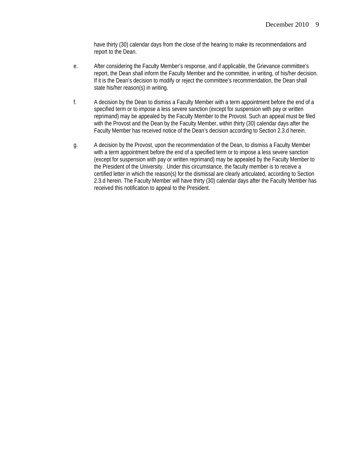have thirty (30) calendar days from the close of the hearing to make its recommendations and report to the Dean.

- e. After considering the Faculty Member's response, and if applicable, the Grievance committee's report, the Dean shall inform the Faculty Member and the committee, in writing, of his/her decision. If it is the Dean's decision to modify or reject the committee's recommendation, the Dean shall state his/her reason(s) in writing.
- f. A decision by the Dean to dismiss a Faculty Member with a term appointment before the end of a specified term or to impose a less severe sanction (except for suspension with pay or written reprimand) may be appealed by the Faculty Member to the Provost. Such an appeal must be filed with the Provost and the Dean by the Faculty Member, within thirty (30) calendar days after the Faculty Member has received notice of the Dean's decision according to Section 2.3.d herein.
- g. A decision by the Provost, upon the recommendation of the Dean, to dismiss a Faculty Member with a term appointment before the end of a specified term or to impose a less severe sanction (except for suspension with pay or written reprimand) may be appealed by the Faculty Member to the President of the University. Under this circumstance, the faculty member is to receive a certified letter in which the reason(s) for the dismissal are clearly articulated, according to Section 2.3.d herein. The Faculty Member will have thirty (30) calendar days after the Faculty Member has received this notification to appeal to the President.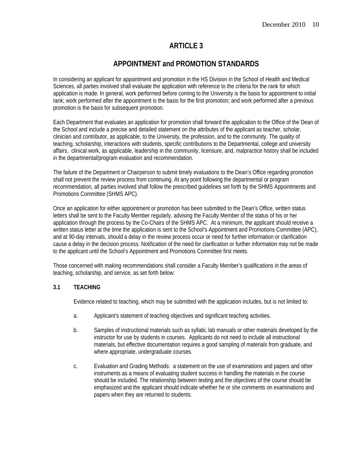# **APPOINTMENT and PROMOTION STANDARDS**

In considering an applicant for appointment and promotion in the HS Division in the School of Health and Medical Sciences, all parties involved shall evaluate the application with reference to the criteria for the rank for which application is made. In general, work performed before coming to the University is the basis for appointment to initial rank; work performed after the appointment is the basis for the first promotion; and work performed after a previous promotion is the basis for subsequent promotion.

Each Department that evaluates an application for promotion shall forward the application to the Office of the Dean of the School and include a precise and detailed statement on the attributes of the applicant as teacher, scholar, clinician and contributor, as applicable, to the University, the profession, and to the community. The quality of teaching, scholarship, interactions with students, specific contributions to the Departmental, college and university affairs, clinical work, as applicable, leadership in the community, licensure, and, malpractice history shall be included in the departmental/program evaluation and recommendation.

The failure of the Department or Chairperson to submit timely evaluations to the Dean's Office regarding promotion shall not prevent the review process from continuing. At any point following the departmental or program recommendation, all parties involved shall follow the prescribed guidelines set forth by the SHMS Appointments and Promotions Committee (SHMS APC).

Once an application for either appointment or promotion has been submitted to the Dean's Office, written status letters shall be sent to the Faculty Member regularly, advising the Faculty Member of the status of his or her application through the process by the Co-Chairs of the SHMS APC. At a minimum, the applicant should receive a written status letter at the time the application is sent to the School's Appointment and Promotions Committee (APC), and at 90-day intervals, should a delay in the review process occur or need for further information or clarification cause a delay in the decision process. Notification of the need for clarification or further information may not be made to the applicant until the School's Appointment and Promotions Committee first meets.

Those concerned with making recommendations shall consider a Faculty Member's qualifications in the areas of teaching, scholarship, and service, as set forth below:

## **3.1 TEACHING**

Evidence related to teaching, which may be submitted with the application includes, but is not limited to:

- a. Applicant's statement of teaching objectives and significant teaching activities.
- b. Samples of instructional materials such as syllabi, lab manuals or other materials developed by the instructor for use by students in courses. Applicants do not need to include all instructional materials, but effective documentation requires a good sampling of materials from graduate, and where appropriate, undergraduate courses.
- c. Evaluation and Grading Methods: a statement on the use of examinations and papers and other instruments as a means of evaluating student success in handling the materials in the course should be included. The relationship between testing and the objectives of the course should be emphasized and the applicant should indicate whether he or she comments on examinations and papers when they are returned to students.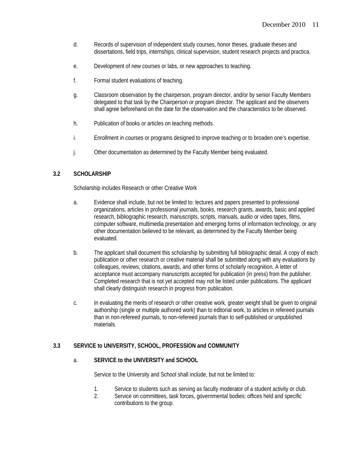- d. Records of supervision of independent study courses, honor theses, graduate theses and dissertations, field trips, internships, clinical supervision, student research projects and practica.
- e. Development of new courses or labs, or new approaches to teaching.
- f. Formal student evaluations of teaching.
- g. Classroom observation by the chairperson, program director, and/or by senior Faculty Members delegated to that task by the Chairperson or program director. The applicant and the observers shall agree beforehand on the date for the observation and the characteristics to be observed.
- h. Publication of books or articles on teaching methods.
- i. Enrollment in courses or programs designed to improve teaching or to broaden one's expertise.
- j. Other documentation as determined by the Faculty Member being evaluated.

#### **3.2 SCHOLARSHIP**

Scholarship includes Research or other Creative Work

- a. Evidence shall include, but not be limited to: lectures and papers presented to professional organizations, articles in professional journals, books, research grants, awards, basic and applied research, bibliographic research, manuscripts, scripts, manuals, audio or video tapes, films, computer software, multimedia presentation and emerging forms of information technology, or any other documentation believed to be relevant, as determined by the Faculty Member being evaluated.
- b. The applicant shall document this scholarship by submitting full bibliographic detail. A copy of each publication or other research or creative material shall be submitted along with any evaluations by colleagues, reviews, citations, awards, and other forms of scholarly recognition. A letter of acceptance must accompany manuscripts accepted for publication (in press) from the publisher. Completed research that is not yet accepted may not be listed under publications. The applicant shall clearly distinguish research in progress from publication.
- c. In evaluating the merits of research or other creative work, greater weight shall be given to original authorship (single or multiple authored work) than to editorial work, to articles in refereed journals than in non-refereed journals, to non-refereed journals than to self-published or unpublished materials.

## **3.3 SERVICE to UNIVERSITY, SCHOOL, PROFESSION and COMMUNITY**

#### a. **SERVICE to the UNIVERSITY and SCHOOL**

Service to the University and School shall include, but not be limited to:

- 1. Service to students such as serving as faculty moderator of a student activity or club.
- 2. Service on committees, task forces, governmental bodies; offices held and specific contributions to the group.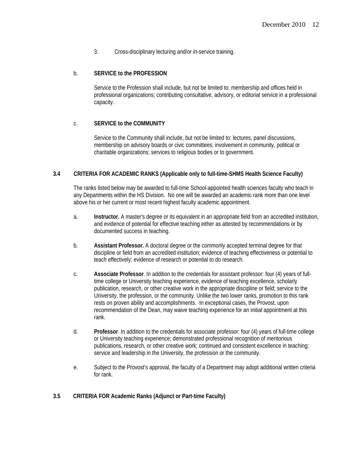3. Cross-disciplinary lecturing and/or in-service training.

#### b. **SERVICE to the PROFESSION**

Service to the Profession shall include, but not be limited to: membership and offices held in professional organizations; contributing consultative, advisory, or editorial service in a professional capacity.

#### c. **SERVICE to the COMMUNITY**

Service to the Community shall include, but not be limited to: lectures, panel discussions, membership on advisory boards or civic committees; involvement in community, political or charitable organizations; services to religious bodies or to government.

#### **3.4 CRITERIA FOR ACADEMIC RANKS (Applicable only to full-time-SHMS Health Science Faculty)**

The ranks listed below may be awarded to full-time School-appointed health sciences faculty who teach in any Departments within the HS Division. No one will be awarded an academic rank more than one level above his or her current or most recent highest faculty academic appointment.

- a. **Instructor.** A master's degree or its equivalent in an appropriate field from an accredited institution, and evidence of potential for effective teaching either as attested by recommendations or by documented success in teaching.
- b. **Assistant Professor.** A doctoral degree or the commonly accepted terminal degree for that discipline or field from an accredited institution; evidence of teaching effectiveness or potential to teach effectively; evidence of research or potential to do research.
- c. **Associate Professor**. In addition to the credentials for assistant professor: four (4) years of fulltime college or University teaching experience, evidence of teaching excellence, scholarly publication, research, or other creative work in the appropriate discipline or field; service to the University, the profession, or the community. Unlike the two lower ranks, promotion to this rank rests on proven ability and accomplishments. In exceptional cases, the Provost, upon recommendation of the Dean, may waive teaching experience for an initial appointment at this rank.
- d. **Professor**. In addition to the credentials for associate professor: four (4) years of full-time college or University teaching experience; demonstrated professional recognition of meritorious publications, research, or other creative work; continued and consistent excellence in teaching; service and leadership in the University, the profession or the community.
- e. Subject to the Provost's approval, the faculty of a Department may adopt additional written criteria for rank.

#### **3.5 CRITERIA FOR Academic Ranks (Adjunct or Part-time Faculty)**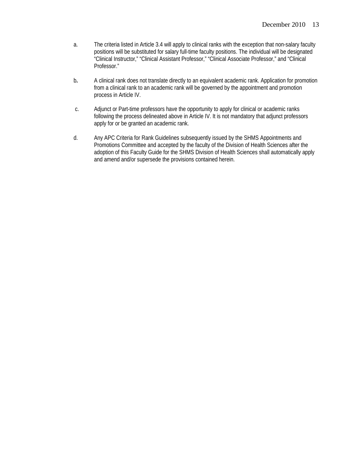- a. The criteria listed in Article 3.4 will apply to clinical ranks with the exception that non-salary faculty positions will be substituted for salary full-time faculty positions. The individual will be designated "Clinical Instructor," "Clinical Assistant Professor," "Clinical Associate Professor," and "Clinical Professor."
- b**.** A clinical rank does not translate directly to an equivalent academic rank. Application for promotion from a clinical rank to an academic rank will be governed by the appointment and promotion process in Article IV.
- c. Adjunct or Part-time professors have the opportunity to apply for clinical or academic ranks following the process delineated above in Article IV. It is not mandatory that adjunct professors apply for or be granted an academic rank.
- d. Any APC Criteria for Rank Guidelines subsequently issued by the SHMS Appointments and Promotions Committee and accepted by the faculty of the Division of Health Sciences after the adoption of this Faculty Guide for the SHMS Division of Health Sciences shall automatically apply and amend and/or supersede the provisions contained herein.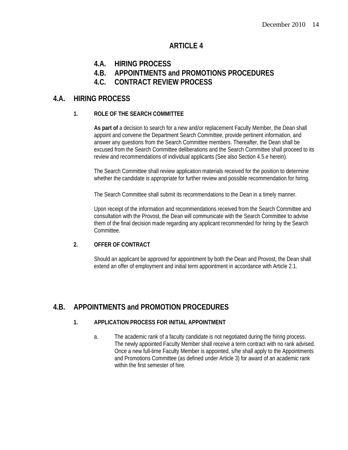- **4.A. HIRING PROCESS**
- **4.B. APPOINTMENTS and PROMOTIONS PROCEDURES**
- **4.C. CONTRACT REVIEW PROCESS**

# **4.A. HIRING PROCESS**

## **1. ROLE OF THE SEARCH COMMITTEE**

**As part of** a decision to search for a new and/or replacement Faculty Member, the Dean shall appoint and convene the Department Search Committee, provide pertinent information, and answer any questions from the Search Committee members. Thereafter, the Dean shall be excused from the Search Committee deliberations and the Search Committee shall proceed to its review and recommendations of individual applicants (See also Section 4.5.e herein).

The Search Committee shall review application materials received for the position to determine whether the candidate is appropriate for further review and possible recommendation for hiring.

The Search Committee shall submit its recommendations to the Dean in a timely manner.

Upon receipt of the information and recommendations received from the Search Committee and consultation with the Provost, the Dean will communicate with the Search Committee to advise them of the final decision made regarding any applicant recommended for hiring by the Search Committee.

#### **2. OFFER OF CONTRACT**

Should an applicant be approved for appointment by both the Dean and Provost, the Dean shall extend an offer of employment and initial term appointment in accordance with Article 2.1.

# **4.B. APPOINTMENTS and PROMOTION PROCEDURES**

#### **1. APPLICATION PROCESS FOR INITIAL APPOINTMENT**

a. The academic rank of a faculty candidate is not negotiated during the hiring process. The newly appointed Faculty Member shall receive a term contract with no rank advised. Once a new full-time Faculty Member is appointed, s/he shall apply to the Appointments and Promotions Committee (as defined under Article 3) for award of an academic rank within the first semester of hire.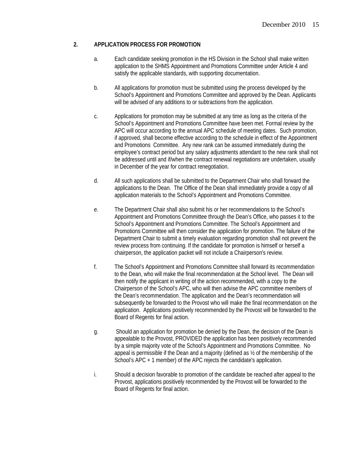#### **2. APPLICATION PROCESS FOR PROMOTION**

- a. Each candidate seeking promotion in the HS Division in the School shall make written application to the SHMS Appointment and Promotions Committee under Article 4 and satisfy the applicable standards, with supporting documentation.
- b. All applications for promotion must be submitted using the process developed by the School's Appointment and Promotions Committee and approved by the Dean. Applicants will be advised of any additions to or subtractions from the application.
- c. Applications for promotion may be submitted at any time as long as the criteria of the School's Appointment and Promotions Committee have been met. Formal review by the APC will occur according to the annual APC schedule of meeting dates. Such promotion, if approved, shall become effective according to the schedule in effect of the Appointment and Promotions Committee. Any new rank can be assumed immediately during the employee's contract period but any salary adjustments attendant to the new rank shall not be addressed until and if/when the contract renewal negotiations are undertaken, usually in December of the year for contract renegotiation.
- d. All such applications shall be submitted to the Department Chair who shall forward the applications to the Dean. The Office of the Dean shall immediately provide a copy of all application materials to the School's Appointment and Promotions Committee.
- e. The Department Chair shall also submit his or her recommendations to the School's Appointment and Promotions Committee through the Dean's Office, who passes it to the School's Appointment and Promotions Committee. The School's Appointment and Promotions Committee will then consider the application for promotion. The failure of the Department Chair to submit a timely evaluation regarding promotion shall not prevent the review process from continuing. If the candidate for promotion is himself or herself a chairperson, the application packet will not include a Chairperson's review.
- f. The School's Appointment and Promotions Committee shall forward its recommendation to the Dean, who will make the final recommendation at the School level. The Dean will then notify the applicant in writing of the action recommended, with a copy to the Chairperson of the School's APC, who will then advise the APC committee members of the Dean's recommendation. The application and the Dean's recommendation will subsequently be forwarded to the Provost who will make the final recommendation on the application. Applications positively recommended by the Provost will be forwarded to the Board of Regents for final action.
- g. Should an application for promotion be denied by the Dean, the decision of the Dean is appealable to the Provost, PROVIDED the application has been positively recommended by a simple majority vote of the School's Appointment and Promotions Committee. No appeal is permissible if the Dean and a majority (defined as ½ of the membership of the School's APC + 1 member) of the APC rejects the candidate's application.
- i. Should a decision favorable to promotion of the candidate be reached after appeal to the Provost, applications positively recommended by the Provost will be forwarded to the Board of Regents for final action.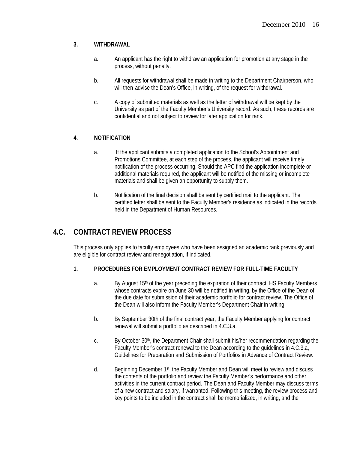## **3. WITHDRAWAL**

- a. An applicant has the right to withdraw an application for promotion at any stage in the process, without penalty.
- b. All requests for withdrawal shall be made in writing to the Department Chairperson, who will then advise the Dean's Office, in writing, of the request for withdrawal.
- c. A copy of submitted materials as well as the letter of withdrawal will be kept by the University as part of the Faculty Member's University record. As such, these records are confidential and not subject to review for later application for rank.

# **4. NOTIFICATION**

- a. If the applicant submits a completed application to the School's Appointment and Promotions Committee, at each step of the process, the applicant will receive timely notification of the process occurring. Should the APC find the application incomplete or additional materials required, the applicant will be notified of the missing or incomplete materials and shall be given an opportunity to supply them.
- b. Notification of the final decision shall be sent by certified mail to the applicant. The certified letter shall be sent to the Faculty Member's residence as indicated in the records held in the Department of Human Resources.

# **4.C. CONTRACT REVIEW PROCESS**

This process only applies to faculty employees who have been assigned an academic rank previously and are eligible for contract review and renegotiation, if indicated.

## **1. PROCEDURES FOR EMPLOYMENT CONTRACT REVIEW FOR FULL-TIME FACULTY**

- a. By August 15<sup>th</sup> of the year preceding the expiration of their contract, HS Faculty Members whose contracts expire on June 30 will be notified in writing, by the Office of the Dean of the due date for submission of their academic portfolio for contract review. The Office of the Dean will also inform the Faculty Member's Department Chair in writing.
- b. By September 30th of the final contract year, the Faculty Member applying for contract renewal will submit a portfolio as described in 4.C.3.a.
- c. By October 30th, the Department Chair shall submit his/her recommendation regarding the Faculty Member's contract renewal to the Dean according to the guidelines in 4.C.3.a, Guidelines for Preparation and Submission of Portfolios in Advance of Contract Review.
- d. Beginning December  $1<sup>st</sup>$ , the Faculty Member and Dean will meet to review and discuss the contents of the portfolio and review the Faculty Member's performance and other activities in the current contract period. The Dean and Faculty Member may discuss terms of a new contract and salary, if warranted. Following this meeting, the review process and key points to be included in the contract shall be memorialized, in writing, and the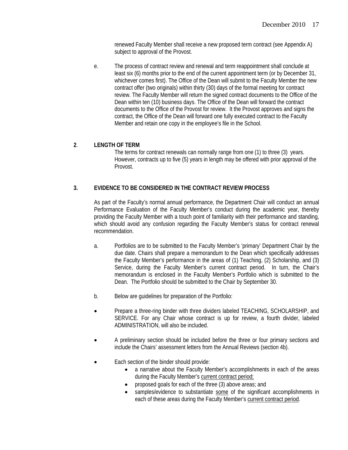renewed Faculty Member shall receive a new proposed term contract (see Appendix A) subject to approval of the Provost.

e. The process of contract review and renewal and term reappointment shall conclude at least six (6) months prior to the end of the current appointment term (or by December 31, whichever comes first). The Office of the Dean will submit to the Faculty Member the new contract offer (two originals) within thirty (30) days of the formal meeting for contract review. The Faculty Member will return the signed contract documents to the Office of the Dean within ten (10) business days. The Office of the Dean will forward the contract documents to the Office of the Provost for review. It the Provost approves and signs the contract, the Office of the Dean will forward one fully executed contract to the Faculty Member and retain one copy in the employee's file in the School.

## **2**. **LENGTH OF TERM**

The terms for contract renewals can normally range from one (1) to three (3) years. However, contracts up to five (5) years in length may be offered with prior approval of the Provost.

# **3. EVIDENCE TO BE CONSIDERED IN THE CONTRACT REVIEW PROCESS**

As part of the Faculty's normal annual performance, the Department Chair will conduct an annual Performance Evaluation of the Faculty Member's conduct during the academic year, thereby providing the Faculty Member with a touch point of familiarity with their performance and standing, which should avoid any confusion regarding the Faculty Member's status for contract renewal recommendation.

- a. Portfolios are to be submitted to the Faculty Member's 'primary' Department Chair by the due date. Chairs shall prepare a memorandum to the Dean which specifically addresses the Faculty Member's performance in the areas of (1) Teaching, (2) Scholarship, and (3) Service, during the Faculty Member's current contract period. In turn, the Chair's memorandum is enclosed in the Faculty Member's Portfolio which is submitted to the Dean. The Portfolio should be submitted to the Chair by September 30.
- b. Below are guidelines for preparation of the Portfolio:
- Prepare a three-ring binder with three dividers labeled TEACHING, SCHOLARSHIP, and SERVICE. For any Chair whose contract is up for review, a fourth divider, labeled ADMINISTRATION, will also be included.
- A preliminary section should be included before the three or four primary sections and include the Chairs' assessment letters from the Annual Reviews (section 4b).
- Each section of the binder should provide:
	- a narrative about the Faculty Member's accomplishments in each of the areas during the Faculty Member's current contract period;
	- proposed goals for each of the three (3) above areas; and
	- samples/evidence to substantiate some of the significant accomplishments in each of these areas during the Faculty Member's current contract period.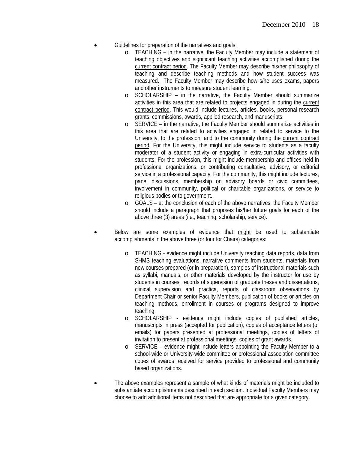- Guidelines for preparation of the narratives and goals:
	- o TEACHING in the narrative, the Faculty Member may include a statement of teaching objectives and significant teaching activities accomplished during the current contract period. The Faculty Member may describe his/her philosophy of teaching and describe teaching methods and how student success was measured. The Faculty Member may describe how s/he uses exams, papers and other instruments to measure student learning.
	- o SCHOLARSHIP in the narrative, the Faculty Member should summarize activities in this area that are related to projects engaged in during the current contract period. This would include lectures, articles, books, personal research grants, commissions, awards, applied research, and manuscripts.
	- SERVICE in the narrative, the Faculty Member should summarize activities in this area that are related to activities engaged in related to service to the University, to the profession, and to the community during the current contract period. For the University, this might include service to students as a faculty moderator of a student activity or engaging in extra-curricular activities with students. For the profession, this might include membership and offices held in professional organizations, or contributing consultative, advisory, or editorial service in a professional capacity. For the community, this might include lectures, panel discussions, membership on advisory boards or civic committees, involvement in community, political or charitable organizations, or service to religious bodies or to government.
	- o GOALS at the conclusion of each of the above narratives, the Faculty Member should include a paragraph that proposes his/her future goals for each of the above three (3) areas (i.e., teaching, scholarship, service).
- Below are some examples of evidence that might be used to substantiate accomplishments in the above three (or four for Chairs) categories:
	- o TEACHING evidence might include University teaching data reports, data from SHMS teaching evaluations, narrative comments from students, materials from new courses prepared (or in preparation), samples of instructional materials such as syllabi, manuals, or other materials developed by the instructor for use by students in courses, records of supervision of graduate theses and dissertations, clinical supervision and practica, reports of classroom observations by Department Chair or senior Faculty Members, publication of books or articles on teaching methods, enrollment in courses or programs designed to improve teaching.
	- o SCHOLARSHIP evidence might include copies of published articles, manuscripts in press (accepted for publication), copies of acceptance letters (or emails) for papers presented at professional meetings, copies of letters of invitation to present at professional meetings, copies of grant awards.
	- o SERVICE evidence might include letters appointing the Faculty Member to a school-wide or University-wide committee or professional association committee copes of awards received for service provided to professional and community based organizations.
- The above examples represent a sample of what kinds of materials might be included to substantiate accomplishments described in each section. Individual Faculty Members may choose to add additional items not described that are appropriate for a given category.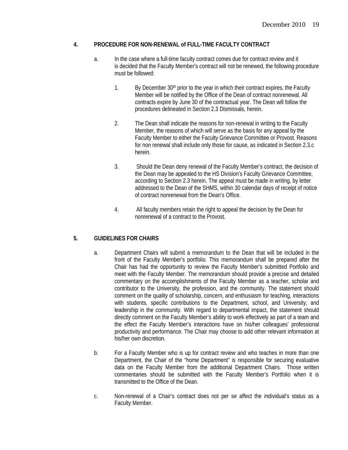#### **4. PROCEDURE FOR NON-RENEWAL of FULL-TIME FACULTY CONTRACT**

- a. In the case where a full-time faculty contract comes due for contract review and it is decided that the Faculty Member's contract will not be renewed, the following procedure must be followed:
	- 1. By December 30<sup>th</sup> prior to the year in which their contract expires, the Faculty Member will be notified by the Office of the Dean of contract nonrenewal. All contracts expire by June 30 of the contractual year. The Dean will follow the procedures delineated in Section 2.3 Dismissals, herein.
	- 2. The Dean shall indicate the reasons for non-renewal in writing to the Faculty Member, the reasons of which will serve as the basis for any appeal by the Faculty Member to either the Faculty Grievance Committee or Provost. Reasons for non renewal shall include only those for cause, as indicated in Section 2.3.c herein.
	- 3. Should the Dean deny renewal of the Faculty Member's contract, the decision of the Dean may be appealed to the HS Division's Faculty Grievance Committee, according to Section 2.3 herein. The appeal must be made in writing, by letter addressed to the Dean of the SHMS, within 30 calendar days of receipt of notice of contract nonrenewal from the Dean's Office.
	- 4. All faculty members retain the right to appeal the decision by the Dean for nonrenewal of a contract to the Provost.

## **5. GUIDELINES FOR CHAIRS**

- a. Department Chairs will submit a memorandum to the Dean that will be included in the front of the Faculty Member's portfolio. This memorandum shall be prepared after the Chair has had the opportunity to review the Faculty Member's submitted Portfolio and meet with the Faculty Member. The memorandum should provide a precise and detailed commentary on the accomplishments of the Faculty Member as a teacher, scholar and contributor to the University, the profession, and the community. The statement should comment on the quality of scholarship, concern, and enthusiasm for teaching, interactions with students, specific contributions to the Department, school, and University, and leadership in the community. With regard to departmental impact, the statement should directly comment on the Faculty Member's ability to work effectively as part of a team and the effect the Faculty Member's interactions have on his/her colleagues' professional productivity and performance. The Chair may choose to add other relevant information at his/her own discretion.
- b. For a Faculty Member who is up for contract review and who teaches in more than one Department, the Chair of the "home Department" is responsible for securing evaluative data on the Faculty Member from the additional Department Chairs. Those written commentaries should be submitted with the Faculty Member's Portfolio when it is transmitted to the Office of the Dean.
- c. Non-renewal of a Chair's contract does not per se affect the individual's status as a Faculty Member.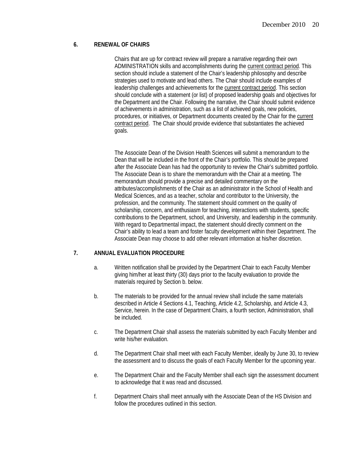#### **6. RENEWAL OF CHAIRS**

Chairs that are up for contract review will prepare a narrative regarding their own ADMINISTRATION skills and accomplishments during the current contract period. This section should include a statement of the Chair's leadership philosophy and describe strategies used to motivate and lead others. The Chair should include examples of leadership challenges and achievements for the current contract period. This section should conclude with a statement (or list) of proposed leadership goals and objectives for the Department and the Chair. Following the narrative, the Chair should submit evidence of achievements in administration, such as a list of achieved goals, new policies, procedures, or initiatives, or Department documents created by the Chair for the current contract period. The Chair should provide evidence that substantiates the achieved goals.

The Associate Dean of the Division Health Sciences will submit a memorandum to the Dean that will be included in the front of the Chair's portfolio. This should be prepared after the Associate Dean has had the opportunity to review the Chair's submitted portfolio. The Associate Dean is to share the memorandum with the Chair at a meeting. The memorandum should provide a precise and detailed commentary on the attributes/accomplishments of the Chair as an administrator in the School of Health and Medical Sciences, and as a teacher, scholar and contributor to the University, the profession, and the community. The statement should comment on the quality of scholarship, concern, and enthusiasm for teaching, interactions with students, specific contributions to the Department, school, and University, and leadership in the community. With regard to Departmental impact, the statement should directly comment on the Chair's ability to lead a team and foster faculty development within their Department. The Associate Dean may choose to add other relevant information at his/her discretion.

## **7. ANNUAL EVALUATION PROCEDURE**

- a. Written notification shall be provided by the Department Chair to each Faculty Member giving him/her at least thirty (30) days prior to the faculty evaluation to provide the materials required by Section b. below.
- b. The materials to be provided for the annual review shall include the same materials described in Article 4 Sections 4.1, Teaching, Article 4.2, Scholarship, and Article 4.3, Service, herein. In the case of Department Chairs, a fourth section, Administration, shall be included.
- c. The Department Chair shall assess the materials submitted by each Faculty Member and write his/her evaluation.
- d. The Department Chair shall meet with each Faculty Member, ideally by June 30, to review the assessment and to discuss the goals of each Faculty Member for the upcoming year.
- e. The Department Chair and the Faculty Member shall each sign the assessment document to acknowledge that it was read and discussed.
- f. Department Chairs shall meet annually with the Associate Dean of the HS Division and follow the procedures outlined in this section.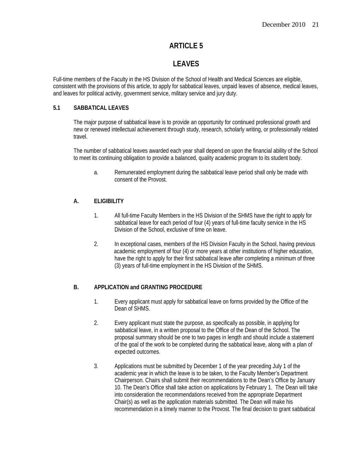# **LEAVES**

Full-time members of the Faculty in the HS Division of the School of Health and Medical Sciences are eligible, consistent with the provisions of this article, to apply for sabbatical leaves, unpaid leaves of absence, medical leaves, and leaves for political activity, government service, military service and jury duty.

## **5.1 SABBATICAL LEAVES**

The major purpose of sabbatical leave is to provide an opportunity for continued professional growth and new or renewed intellectual achievement through study, research, scholarly writing, or professionally related travel.

The number of sabbatical leaves awarded each year shall depend on upon the financial ability of the School to meet its continuing obligation to provide a balanced, quality academic program to its student body.

a. Remunerated employment during the sabbatical leave period shall only be made with consent of the Provost.

# **A. ELIGIBILITY**

- 1. All full-time Faculty Members in the HS Division of the SHMS have the right to apply for sabbatical leave for each period of four (4) years of full-time faculty service in the HS Division of the School, exclusive of time on leave.
- 2. In exceptional cases, members of the HS Division Faculty in the School, having previous academic employment of four (4) or more years at other institutions of higher education, have the right to apply for their first sabbatical leave after completing a minimum of three (3) years of full-time employment in the HS Division of the SHMS.

# **B. APPLICATION and GRANTING PROCEDURE**

- 1. Every applicant must apply for sabbatical leave on forms provided by the Office of the Dean of SHMS.
- 2. Every applicant must state the purpose, as specifically as possible, in applying for sabbatical leave, in a written proposal to the Office of the Dean of the School. The proposal summary should be one to two pages in length and should include a statement of the goal of the work to be completed during the sabbatical leave, along with a plan of expected outcomes.
- 3. Applications must be submitted by December 1 of the year preceding July 1 of the academic year in which the leave is to be taken, to the Faculty Member's Department Chairperson. Chairs shall submit their recommendations to the Dean's Office by January 10. The Dean's Office shall take action on applications by February 1. The Dean will take into consideration the recommendations received from the appropriate Department Chair(s) as well as the application materials submitted. The Dean will make his recommendation in a timely manner to the Provost. The final decision to grant sabbatical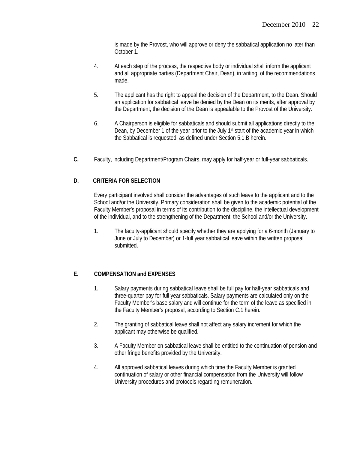is made by the Provost, who will approve or deny the sabbatical application no later than October 1.

- 4. At each step of the process, the respective body or individual shall inform the applicant and all appropriate parties (Department Chair, Dean), in writing, of the recommendations made.
- 5. The applicant has the right to appeal the decision of the Department, to the Dean. Should an application for sabbatical leave be denied by the Dean on its merits, after approval by the Department, the decision of the Dean is appealable to the Provost of the University.
- 6. A Chairperson is eligible for sabbaticals and should submit all applications directly to the Dean, by December 1 of the year prior to the July 1<sup>st</sup> start of the academic year in which the Sabbatical is requested, as defined under Section 5.1.B herein.
- **C.** Faculty, including Department/Program Chairs, may apply for half-year or full-year sabbaticals.

#### **D. CRITERIA FOR SELECTION**

Every participant involved shall consider the advantages of such leave to the applicant and to the School and/or the University. Primary consideration shall be given to the academic potential of the Faculty Member's proposal in terms of its contribution to the discipline, the intellectual development of the individual, and to the strengthening of the Department, the School and/or the University.

1. The faculty-applicant should specify whether they are applying for a 6-month (January to June or July to December) or 1-full year sabbatical leave within the written proposal submitted.

## **E. COMPENSATION and EXPENSES**

- 1. Salary payments during sabbatical leave shall be full pay for half-year sabbaticals and three-quarter pay for full year sabbaticals. Salary payments are calculated only on the Faculty Member's base salary and will continue for the term of the leave as specified in the Faculty Member's proposal, according to Section C.1 herein.
- 2. The granting of sabbatical leave shall not affect any salary increment for which the applicant may otherwise be qualified.
- 3. A Faculty Member on sabbatical leave shall be entitled to the continuation of pension and other fringe benefits provided by the University.
- 4. All approved sabbatical leaves during which time the Faculty Member is granted continuation of salary or other financial compensation from the University will follow University procedures and protocols regarding remuneration.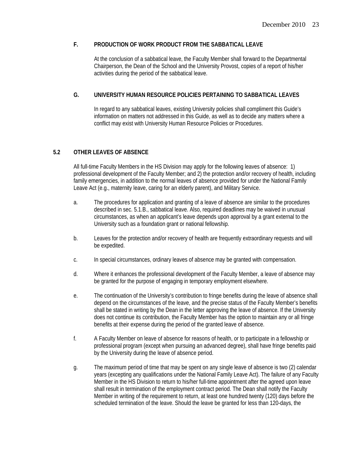#### **F. PRODUCTION OF WORK PRODUCT FROM THE SABBATICAL LEAVE**

At the conclusion of a sabbatical leave, the Faculty Member shall forward to the Departmental Chairperson, the Dean of the School and the University Provost, copies of a report of his/her activities during the period of the sabbatical leave.

#### **G. UNIVERSITY HUMAN RESOURCE POLICIES PERTAINING TO SABBATICAL LEAVES**

In regard to any sabbatical leaves, existing University policies shall compliment this Guide's information on matters not addressed in this Guide, as well as to decide any matters where a conflict may exist with University Human Resource Policies or Procedures.

## **5.2 OTHER LEAVES OF ABSENCE**

All full-time Faculty Members in the HS Division may apply for the following leaves of absence: 1) professional development of the Faculty Member; and 2) the protection and/or recovery of health, including family emergencies, in addition to the normal leaves of absence provided for under the National Family Leave Act (e.g., maternity leave, caring for an elderly parent), and Military Service.

- a. The procedures for application and granting of a leave of absence are similar to the procedures described in sec. 5.1.B., sabbatical leave. Also, required deadlines may be waived in unusual circumstances, as when an applicant's leave depends upon approval by a grant external to the University such as a foundation grant or national fellowship.
- b. Leaves for the protection and/or recovery of health are frequently extraordinary requests and will be expedited.
- c. In special circumstances, ordinary leaves of absence may be granted with compensation.
- d. Where it enhances the professional development of the Faculty Member, a leave of absence may be granted for the purpose of engaging in temporary employment elsewhere.
- e. The continuation of the University's contribution to fringe benefits during the leave of absence shall depend on the circumstances of the leave, and the precise status of the Faculty Member's benefits shall be stated in writing by the Dean in the letter approving the leave of absence. If the University does not continue its contribution, the Faculty Member has the option to maintain any or all fringe benefits at their expense during the period of the granted leave of absence.
- f. A Faculty Member on leave of absence for reasons of health, or to participate in a fellowship or professional program (except when pursuing an advanced degree), shall have fringe benefits paid by the University during the leave of absence period.
- g. The maximum period of time that may be spent on any single leave of absence is two (2) calendar years (excepting any qualifications under the National Family Leave Act). The failure of any Faculty Member in the HS Division to return to his/her full-time appointment after the agreed upon leave shall result in termination of the employment contract period. The Dean shall notify the Faculty Member in writing of the requirement to return, at least one hundred twenty (120) days before the scheduled termination of the leave. Should the leave be granted for less than 120-days, the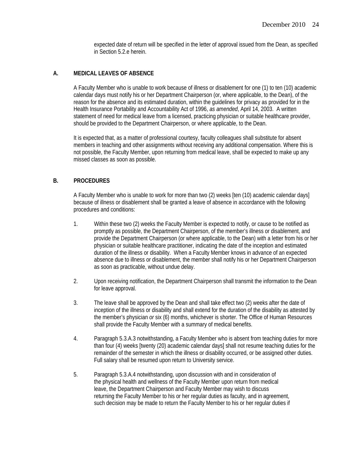expected date of return will be specified in the letter of approval issued from the Dean, as specified in Section 5.2.e herein.

#### **A. MEDICAL LEAVES OF ABSENCE**

A Faculty Member who is unable to work because of illness or disablement for one (1) to ten (10) academic calendar days must notify his or her Department Chairperson (or, where applicable, to the Dean), of the reason for the absence and its estimated duration, within the guidelines for privacy as provided for in the Health Insurance Portability and Accountability Act of 1996, *as amended*, April 14, 2003. A written statement of need for medical leave from a licensed, practicing physician or suitable healthcare provider, should be provided to the Department Chairperson, or where applicable, to the Dean.

It is expected that, as a matter of professional courtesy, faculty colleagues shall substitute for absent members in teaching and other assignments without receiving any additional compensation. Where this is not possible, the Faculty Member, upon returning from medical leave, shall be expected to make up any missed classes as soon as possible.

#### **B. PROCEDURES**

A Faculty Member who is unable to work for more than two (2) weeks [ten (10) academic calendar days] because of illness or disablement shall be granted a leave of absence in accordance with the following procedures and conditions:

- 1. Within these two (2) weeks the Faculty Member is expected to notify, or cause to be notified as promptly as possible, the Department Chairperson, of the member's illness or disablement, and provide the Department Chairperson (or where applicable, to the Dean) with a letter from his or her physician or suitable healthcare practitioner, indicating the date of the inception and estimated duration of the illness or disability. When a Faculty Member knows in advance of an expected absence due to illness or disablement, the member shall notify his or her Department Chairperson as soon as practicable, without undue delay.
- 2. Upon receiving notification, the Department Chairperson shall transmit the information to the Dean for leave approval.
- 3. The leave shall be approved by the Dean and shall take effect two (2) weeks after the date of inception of the illness or disability and shall extend for the duration of the disability as attested by the member's physician *or* six (6) months, whichever is shorter. The Office of Human Resources shall provide the Faculty Member with a summary of medical benefits.
- 4. Paragraph 5.3.A.3 notwithstanding, a Faculty Member who is absent from teaching duties for more than four (4) weeks [twenty (20) academic calendar days] shall not resume teaching duties for the remainder of the semester in which the illness or disability occurred, or be assigned other duties. Full salary shall be resumed upon return to University service.
- 5. Paragraph 5.3.A.4 notwithstanding, upon discussion with and in consideration of the physical health and wellness of the Faculty Member upon return from medical leave, the Department Chairperson and Faculty Member may wish to discuss returning the Faculty Member to his or her regular duties as faculty, and in agreement, such decision may be made to return the Faculty Member to his or her regular duties if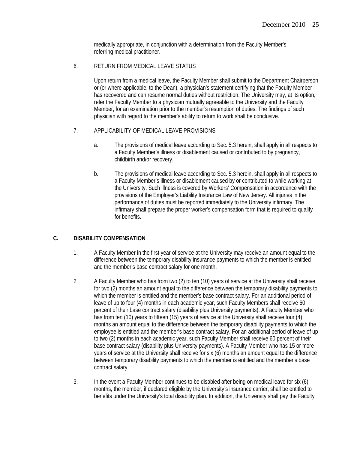medically appropriate, in conjunction with a determination from the Faculty Member's referring medical practitioner.

#### 6. RETURN FROM MEDICAL LEAVE STATUS

Upon return from a medical leave, the Faculty Member shall submit to the Department Chairperson or (or where applicable, to the Dean), a physician's statement certifying that the Faculty Member has recovered and can resume normal duties without restriction. The University may, at its option, refer the Faculty Member to a physician mutually agreeable to the University and the Faculty Member, for an examination prior to the member's resumption of duties. The findings of such physician with regard to the member's ability to return to work shall be conclusive.

#### 7. APPLICABILITY OF MEDICAL LEAVE PROVISIONS

- a. The provisions of medical leave according to Sec. 5.3 herein, shall apply in all respects to a Faculty Member's illness or disablement caused or contributed to by pregnancy, childbirth and/or recovery.
- b. The provisions of medical leave according to Sec. 5.3 herein, shall apply in all respects to a Faculty Member's illness or disablement caused by or contributed to while working at the University. Such illness is covered by Workers' Compensation in accordance with the provisions of the Employer's Liability Insurance Law of New Jersey. All injuries in the performance of duties must be reported immediately to the University infirmary. The infirmary shall prepare the proper worker's compensation form that is required to qualify for benefits.

## **C. DISABILITY COMPENSATION**

- 1. A Faculty Member in the first year of service at the University may receive an amount equal to the difference between the temporary disability insurance payments to which the member is entitled and the member's base contract salary for one month.
- 2. A Faculty Member who has from two (2) to ten (10) years of service at the University shall receive for two (2) months an amount equal to the difference between the temporary disability payments to which the member is entitled and the member's base contract salary. For an additional period of leave of up to four (4) months in each academic year, such Faculty Members shall receive 60 percent of their base contract salary (disability plus University payments). A Faculty Member who has from ten (10) years to fifteen (15) years of service at the University shall receive four (4) months an amount equal to the difference between the temporary disability payments to which the employee is entitled and the member's base contract salary. For an additional period of leave of up to two (2) months in each academic year, such Faculty Member shall receive 60 percent of their base contract salary (disability plus University payments). A Faculty Member who has 15 or more years of service at the University shall receive for six (6) months an amount equal to the difference between temporary disability payments to which the member is entitled and the member's base contract salary.
- 3. In the event a Faculty Member continues to be disabled after being on medical leave for six (6) months, the member, if declared eligible by the University's insurance carrier, shall be entitled to benefits under the University's total disability plan. In addition, the University shall pay the Faculty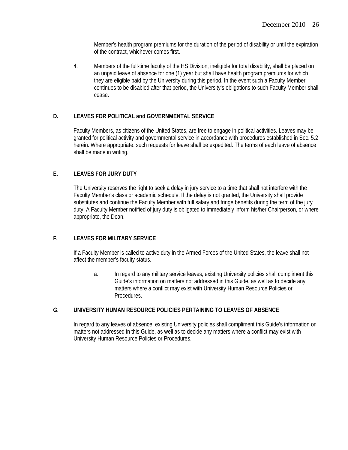Member's health program premiums for the duration of the period of disability or until the expiration of the contract, whichever comes first.

4. Members of the full-time faculty of the HS Division, ineligible for total disability, shall be placed on an unpaid leave of absence for one (1) year but shall have health program premiums for which they are eligible paid by the University during this period. In the event such a Faculty Member continues to be disabled after that period, the University's obligations to such Faculty Member shall cease.

#### **D. LEAVES FOR POLITICAL and GOVERNMENTAL SERVICE**

 Faculty Members, as citizens of the United States, are free to engage in political activities. Leaves may be granted for political activity and governmental service in accordance with procedures established in Sec. 5.2 herein. Where appropriate, such requests for leave shall be expedited. The terms of each leave of absence shall be made in writing.

#### **E. LEAVES FOR JURY DUTY**

The University reserves the right to seek a delay in jury service to a time that shall not interfere with the Faculty Member's class or academic schedule. If the delay is not granted, the University shall provide substitutes and continue the Faculty Member with full salary and fringe benefits during the term of the jury duty. A Faculty Member notified of jury duty is obligated to immediately inform his/her Chairperson, or where appropriate, the Dean.

## **F. LEAVES FOR MILITARY SERVICE**

If a Faculty Member is called to active duty in the Armed Forces of the United States, the leave shall not affect the member's faculty status.

a. In regard to any military service leaves, existing University policies shall compliment this Guide's information on matters not addressed in this Guide, as well as to decide any matters where a conflict may exist with University Human Resource Policies or Procedures.

# **G. UNIVERSITY HUMAN RESOURCE POLICIES PERTAINING TO LEAVES OF ABSENCE**

In regard to any leaves of absence, existing University policies shall compliment this Guide's information on matters not addressed in this Guide, as well as to decide any matters where a conflict may exist with University Human Resource Policies or Procedures.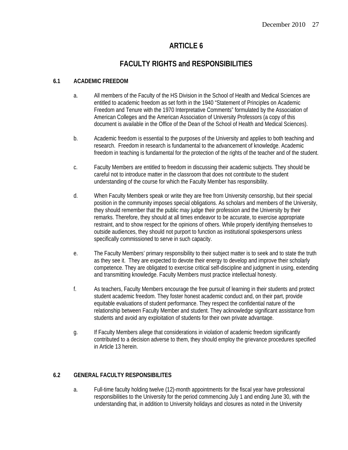# **FACULTY RIGHTS and RESPONSIBILITIES**

## **6.1 ACADEMIC FREEDOM**

- a. All members of the Faculty of the HS Division in the School of Health and Medical Sciences are entitled to academic freedom as set forth in the 1940 "Statement of Principles on Academic Freedom and Tenure with the 1970 Interpretative Comments" formulated by the Association of American Colleges and the American Association of University Professors (a copy of this document is available in the Office of the Dean of the School of Health and Medical Sciences).
- b. Academic freedom is essential to the purposes of the University and applies to both teaching and research. Freedom in research is fundamental to the advancement of knowledge. Academic freedom in teaching is fundamental for the protection of the rights of the teacher and of the student.
- c. Faculty Members are entitled to freedom in discussing their academic subjects. They should be careful not to introduce matter in the classroom that does not contribute to the student understanding of the course for which the Faculty Member has responsibility.
- d. When Faculty Members speak or write they are free from University censorship, but their special position in the community imposes special obligations. As scholars and members of the University, they should remember that the public may judge their profession and the University by their remarks. Therefore, they should at all times endeavor to be accurate, to exercise appropriate restraint, and to show respect for the opinions of others. While properly identifying themselves to outside audiences, they should not purport to function as institutional spokespersons unless specifically commissioned to serve in such capacity.
- e. The Faculty Members' primary responsibility to their subject matter is to seek and to state the truth as they see it. They are expected to devote their energy to develop and improve their scholarly competence. They are obligated to exercise critical self-discipline and judgment in using, extending and transmitting knowledge. Faculty Members must practice intellectual honesty.
- f. As teachers, Faculty Members encourage the free pursuit of learning in their students and protect student academic freedom. They foster honest academic conduct and, on their part, provide equitable evaluations of student performance. They respect the confidential nature of the relationship between Faculty Member and student. They acknowledge significant assistance from students and avoid any exploitation of students for their own private advantage.
- g. If Faculty Members allege that considerations in violation of academic freedom significantly contributed to a decision adverse to them, they should employ the grievance procedures specified in Article 13 herein.

# **6.2 GENERAL FACULTY RESPONSIBILITES**

a. Full-time faculty holding twelve (12)-month appointments for the fiscal year have professional responsibilities to the University for the period commencing July 1 and ending June 30, with the understanding that, in addition to University holidays and closures as noted in the University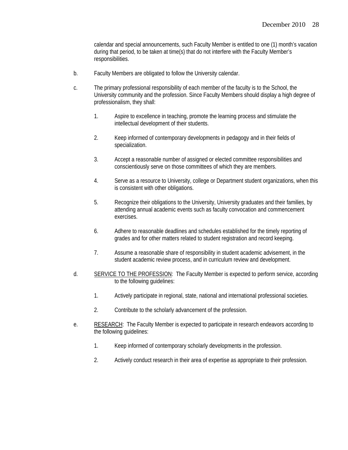calendar and special announcements, such Faculty Member is entitled to one (1) month's vacation during that period, to be taken at time(s) that do not interfere with the Faculty Member's responsibilities.

- b. Faculty Members are obligated to follow the University calendar.
- c. The primary professional responsibility of each member of the faculty is to the School, the University community and the profession. Since Faculty Members should display a high degree of professionalism, they shall:
	- 1. Aspire to excellence in teaching, promote the learning process and stimulate the intellectual development of their students.
	- 2. Keep informed of contemporary developments in pedagogy and in their fields of specialization.
	- 3. Accept a reasonable number of assigned or elected committee responsibilities and conscientiously serve on those committees of which they are members.
	- 4. Serve as a resource to University, college or Department student organizations, when this is consistent with other obligations.
	- 5. Recognize their obligations to the University, University graduates and their families, by attending annual academic events such as faculty convocation and commencement exercises.
	- 6. Adhere to reasonable deadlines and schedules established for the timely reporting of grades and for other matters related to student registration and record keeping.
	- 7. Assume a reasonable share of responsibility in student academic advisement, in the student academic review process, and in curriculum review and development.
- d. SERVICE TO THE PROFESSION: The Faculty Member is expected to perform service, according to the following guidelines:
	- 1. Actively participate in regional, state, national and international professional societies.
	- 2. Contribute to the scholarly advancement of the profession.
- e. RESEARCH: The Faculty Member is expected to participate in research endeavors according to the following guidelines:
	- 1. Keep informed of contemporary scholarly developments in the profession.
	- 2. Actively conduct research in their area of expertise as appropriate to their profession.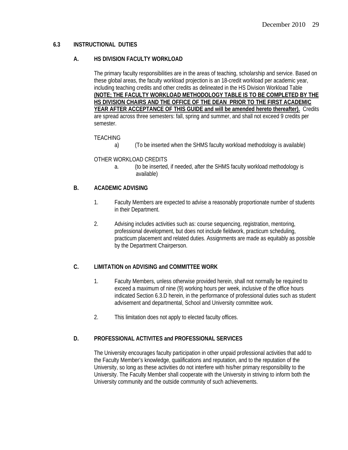#### **6.3 INSTRUCTIONAL DUTIES**

#### **A. HS DIVISION FACULTY WORKLOAD**

The primary faculty responsibilities are in the areas of teaching, scholarship and service. Based on these global areas, the faculty workload projection is an 18-credit workload per academic year, including teaching credits and other credits as delineated in the HS Division Workload Table **(NOTE; THE FACULTY WORKLOAD METHODOLOGY TABLE IS TO BE COMPLETED BY THE HS DIVISION CHAIRS AND THE OFFICE OF THE DEAN PRIOR TO THE FIRST ACADEMIC YEAR AFTER ACCEPTANCE OF THIS GUIDE and will be amended hereto thereafter).** Credits are spread across three semesters: fall, spring and summer, and shall not exceed 9 credits per semester.

#### TEACHING

a) (To be inserted when the SHMS faculty workload methodology is available)

#### OTHER WORKLOAD CREDITS

a. (to be inserted, if needed, after the SHMS faculty workload methodology is available)

#### **B. ACADEMIC ADVISING**

- 1. Faculty Members are expected to advise a reasonably proportionate number of students in their Department.
- 2. Advising includes activities such as: course sequencing, registration, mentoring, professional development, but does not include fieldwork, practicum scheduling, practicum placement and related duties. Assignments are made as equitably as possible by the Department Chairperson.

#### **C. LIMITATION on ADVISING and COMMITTEE WORK**

- 1. Faculty Members, unless otherwise provided herein, shall not normally be required to exceed a maximum of nine (9) working hours per week, inclusive of the office hours indicated Section 6.3.D herein, in the performance of professional duties such as student advisement and departmental, School and University committee work.
- 2. This limitation does not apply to elected faculty offices.

## **D. PROFESSIONAL ACTIVITES and PROFESSIONAL SERVICES**

The University encourages faculty participation in other unpaid professional activities that add to the Faculty Member's knowledge, qualifications and reputation, and to the reputation of the University, so long as these activities do not interfere with his/her primary responsibility to the University. The Faculty Member shall cooperate with the University in striving to inform both the University community and the outside community of such achievements.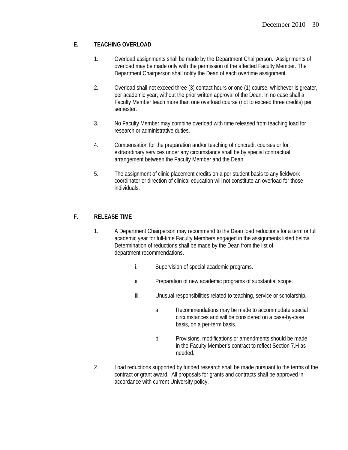## **E. TEACHING OVERLOAD**

- 1. Overload assignments shall be made by the Department Chairperson. Assignments of overload may be made only with the permission of the affected Faculty Member. The Department Chairperson shall notify the Dean of each overtime assignment.
- 2. Overload shall not exceed three (3) contact hours or one (1) course, whichever is greater, per academic year, without the prior written approval of the Dean. In no case shall a Faculty Member teach more than one overload course (not to exceed three credits) per semester.
- 3. No Faculty Member may combine overload with time released from teaching load for research or administrative duties.
- 4. Compensation for the preparation and/or teaching of noncredit courses or for extraordinary services under any circumstance shall be by special contractual arrangement between the Faculty Member and the Dean.
- 5. The assignment of clinic placement credits on a per student basis to any fieldwork coordinator or direction of clinical education will not constitute an overload for those individuals.

## **F. RELEASE TIME**

- 1. A Department Chairperson may recommend to the Dean load reductions for a term or full academic year for full-time Faculty Members engaged in the assignments listed below. Determination of reductions shall be made by the Dean from the list of department recommendations.
	- i. Supervision of special academic programs.
	- ii. Preparation of new academic programs of substantial scope.
	- iii. Unusual responsibilities related to teaching, service or scholarship.
		- a. Recommendations may be made to accommodate special circumstances and will be considered on a case-by-case basis, on a per-term basis.
		- b. Provisions, modifications or amendments should be made in the Faculty Member's contract to reflect Section 7.H as needed.
- 2. Load reductions supported by funded research shall be made pursuant to the terms of the contract or grant award. All proposals for grants and contracts shall be approved in accordance with current University policy.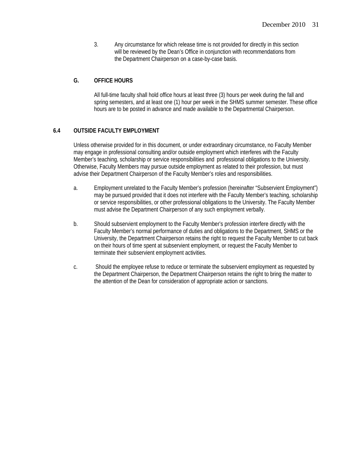3. Any circumstance for which release time is not provided for directly in this section will be reviewed by the Dean's Office in conjunction with recommendations from the Department Chairperson on a case-by-case basis.

## **G. OFFICE HOURS**

All full-time faculty shall hold office hours at least three (3) hours per week during the fall and spring semesters, and at least one (1) hour per week in the SHMS summer semester. These office hours are to be posted in advance and made available to the Departmental Chairperson.

## **6.4 OUTSIDE FACULTY EMPLOYMENT**

Unless otherwise provided for in this document, or under extraordinary circumstance, no Faculty Member may engage in professional consulting and/or outside employment which interferes with the Faculty Member's teaching, scholarship or service responsibilities and professional obligations to the University. Otherwise, Faculty Members may pursue outside employment as related to their profession, but must advise their Department Chairperson of the Faculty Member's roles and responsibilities.

- a. Employment unrelated to the Faculty Member's profession (hereinafter "Subservient Employment") may be pursued provided that it does not interfere with the Faculty Member's teaching, scholarship or service responsibilities, or other professional obligations to the University. The Faculty Member must advise the Department Chairperson of any such employment verbally.
- b. Should subservient employment to the Faculty Member's profession interfere directly with the Faculty Member's normal performance of duties and obligations to the Department, SHMS or the University, the Department Chairperson retains the right to request the Faculty Member to cut back on their hours of time spent at subservient employment, or request the Faculty Member to terminate their subservient employment activities.
- c. Should the employee refuse to reduce or terminate the subservient employment as requested by the Department Chairperson, the Department Chairperson retains the right to bring the matter to the attention of the Dean for consideration of appropriate action or sanctions.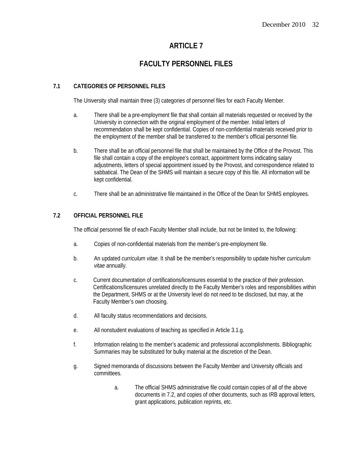# **FACULTY PERSONNEL FILES**

## **7.1 CATEGORIES OF PERSONNEL FILES**

The University shall maintain three (3) categories of personnel files for each Faculty Member.

- a. There shall be a pre-employment file that shall contain all materials requested or received by the University in connection with the original employment of the member. Initial letters of recommendation shall be kept confidential. Copies of non-confidential materials received prior to the employment of the member shall be transferred to the member's official personnel file.
- b. There shall be an official personnel file that shall be maintained by the Office of the Provost. This file shall contain a copy of the employee's contract, appointment forms indicating salary adjustments, letters of special appointment issued by the Provost, and correspondence related to sabbatical. The Dean of the SHMS will maintain a secure copy of this file. All information will be kept confidential.
- c. There shall be an administrative file maintained in the Office of the Dean for SHMS employees.

## **7.2 OFFICIAL PERSONNEL FILE**

The official personnel file of each Faculty Member shall include, but not be limited to, the following:

- a. Copies of non-confidential materials from the member's pre-employment file.
- b. An updated *curriculum vitae*. It shall be the member's responsibility to update his/her *curriculum vitae* annually.
- c. Current documentation of certifications/licensures essential to the practice of their profession. Certifications/licensures unrelated directly to the Faculty Member's roles and responsibilities within the Department, SHMS or at the University level do not need to be disclosed, but may, at the Faculty Member's own choosing.
- d. All faculty status recommendations and decisions.
- e. All nonstudent evaluations of teaching as specified in Article 3.1.g.
- f. Information relating to the member's academic and professional accomplishments. Bibliographic Summaries may be substituted for bulky material at the discretion of the Dean.
- g. Signed memoranda of discussions between the Faculty Member and University officials and committees.
	- a. The official SHMS administrative file could contain copies of all of the above documents in 7.2, and copies of other documents, such as IRB approval letters, grant applications, publication reprints, etc.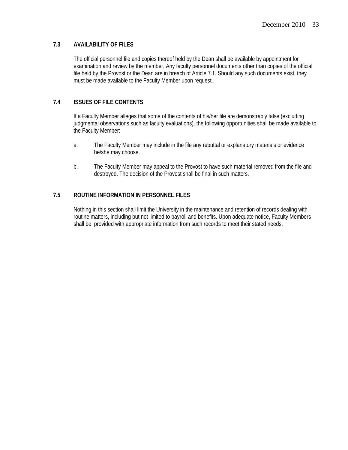#### **7.3 AVAILABILITY OF FILES**

The official personnel file and copies thereof held by the Dean shall be available by appointment for examination and review by the member. Any faculty personnel documents other than copies of the official file held by the Provost or the Dean are in breach of Article 7.1. Should any such documents exist, they must be made available to the Faculty Member upon request.

## **7.4 ISSUES OF FILE CONTENTS**

If a Faculty Member alleges that some of the contents of his/her file are demonstrably false (excluding judgmental observations such as faculty evaluations), the following opportunities shall be made available to the Faculty Member:

- a. The Faculty Member may include in the file any rebuttal or explanatory materials or evidence he/she may choose.
- b. The Faculty Member may appeal to the Provost to have such material removed from the file and destroyed. The decision of the Provost shall be final in such matters.

#### **7.5 ROUTINE INFORMATION IN PERSONNEL FILES**

Nothing in this section shall limit the University in the maintenance and retention of records dealing with routine matters, including but not limited to payroll and benefits. Upon adequate notice, Faculty Members shall be provided with appropriate information from such records to meet their stated needs.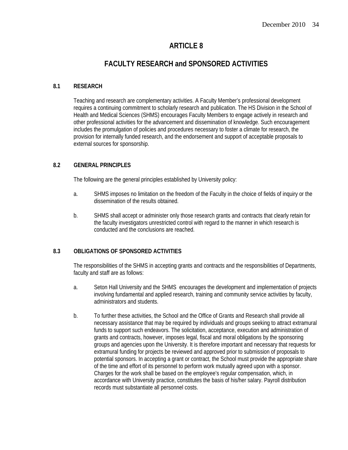# **FACULTY RESEARCH and SPONSORED ACTIVITIES**

#### **8.1 RESEARCH**

 Teaching and research are complementary activities. A Faculty Member's professional development requires a continuing commitment to scholarly research and publication. The HS Division in the School of Health and Medical Sciences (SHMS) encourages Faculty Members to engage actively in research and other professional activities for the advancement and dissemination of knowledge. Such encouragement includes the promulgation of policies and procedures necessary to foster a climate for research, the provision for internally funded research, and the endorsement and support of acceptable proposals to external sources for sponsorship.

## **8.2 GENERAL PRINCIPLES**

The following are the general principles established by University policy:

- a. SHMS imposes no limitation on the freedom of the Faculty in the choice of fields of inquiry or the dissemination of the results obtained.
- b. SHMS shall accept or administer only those research grants and contracts that clearly retain for the faculty investigators unrestricted control with regard to the manner in which research is conducted and the conclusions are reached.

## **8.3 OBLIGATIONS OF SPONSORED ACTIVITIES**

 The responsibilities of the SHMS in accepting grants and contracts and the responsibilities of Departments, faculty and staff are as follows:

- a. Seton Hall University and the SHMS encourages the development and implementation of projects involving fundamental and applied research, training and community service activities by faculty, administrators and students.
- b. To further these activities, the School and the Office of Grants and Research shall provide all necessary assistance that may be required by individuals and groups seeking to attract extramural funds to support such endeavors. The solicitation, acceptance, execution and administration of grants and contracts, however, imposes legal, fiscal and moral obligations by the sponsoring groups and agencies upon the University. It is therefore important and necessary that requests for extramural funding for projects be reviewed and approved prior to submission of proposals to potential sponsors. In accepting a grant or contract, the School must provide the appropriate share of the time and effort of its personnel to perform work mutually agreed upon with a sponsor. Charges for the work shall be based on the employee's regular compensation, which, in accordance with University practice, constitutes the basis of his/her salary. Payroll distribution records must substantiate all personnel costs.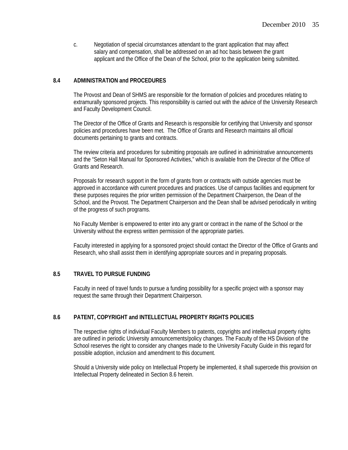c. Negotiation of special circumstances attendant to the grant application that may affect salary and compensation, shall be addressed on an ad hoc basis between the grant applicant and the Office of the Dean of the School, prior to the application being submitted.

#### **8.4 ADMINISTRATION and PROCEDURES**

 The Provost and Dean of SHMS are responsible for the formation of policies and procedures relating to extramurally sponsored projects. This responsibility is carried out with the advice of the University Research and Faculty Development Council.

 The Director of the Office of Grants and Research is responsible for certifying that University and sponsor policies and procedures have been met. The Office of Grants and Research maintains all official documents pertaining to grants and contracts.

 The review criteria and procedures for submitting proposals are outlined in administrative announcements and the "Seton Hall Manual for Sponsored Activities," which is available from the Director of the Office of Grants and Research.

 Proposals for research support in the form of grants from or contracts with outside agencies must be approved in accordance with current procedures and practices. Use of campus facilities and equipment for these purposes requires the prior written permission of the Department Chairperson, the Dean of the School, and the Provost. The Department Chairperson and the Dean shall be advised periodically in writing of the progress of such programs.

 No Faculty Member is empowered to enter into any grant or contract in the name of the School or the University without the express written permission of the appropriate parties.

 Faculty interested in applying for a sponsored project should contact the Director of the Office of Grants and Research, who shall assist them in identifying appropriate sources and in preparing proposals.

#### **8.5 TRAVEL TO PURSUE FUNDING**

Faculty in need of travel funds to pursue a funding possibility for a specific project with a sponsor may request the same through their Department Chairperson.

## **8.6 PATENT, COPYRIGHT and INTELLECTUAL PROPERTY RIGHTS POLICIES**

The respective rights of individual Faculty Members to patents, copyrights and intellectual property rights are outlined in periodic University announcements/policy changes. The Faculty of the HS Division of the School reserves the right to consider any changes made to the University Faculty Guide in this regard for possible adoption, inclusion and amendment to this document.

 Should a University wide policy on Intellectual Property be implemented, it shall supercede this provision on Intellectual Property delineated in Section 8.6 herein.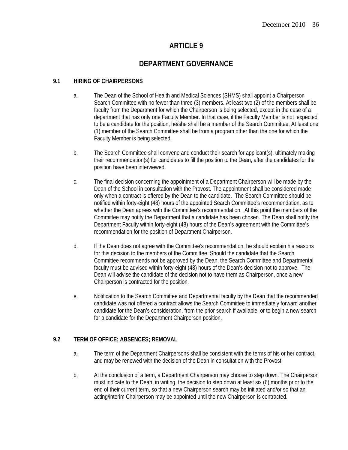# **DEPARTMENT GOVERNANCE**

#### **9.1 HIRING OF CHAIRPERSONS**

- a. The Dean of the School of Health and Medical Sciences (SHMS) shall appoint a Chairperson Search Committee with no fewer than three (3) members. At least two (2) of the members shall be faculty from the Department for which the Chairperson is being selected, except in the case of a department that has only one Faculty Member. In that case, if the Faculty Member is not expected to be a candidate for the position, he/she shall be a member of the Search Committee. At least one (1) member of the Search Committee shall be from a program other than the one for which the Faculty Member is being selected.
- b. The Search Committee shall convene and conduct their search for applicant(s), ultimately making their recommendation(s) for candidates to fill the position to the Dean, after the candidates for the position have been interviewed.
- c. The final decision concerning the appointment of a Department Chairperson will be made by the Dean of the School in consultation with the Provost. The appointment shall be considered made only when a contract is offered by the Dean to the candidate. The Search Committee should be notified within forty-eight (48) hours of the appointed Search Committee's recommendation, as to whether the Dean agrees with the Committee's recommendation. At this point the members of the Committee may notify the Department that a candidate has been chosen. The Dean shall notify the Department Faculty within forty-eight (48) hours of the Dean's agreement with the Committee's recommendation for the position of Department Chairperson.
- d. If the Dean does not agree with the Committee's recommendation, he should explain his reasons for this decision to the members of the Committee. Should the candidate that the Search Committee recommends not be approved by the Dean, the Search Committee and Departmental faculty must be advised within forty-eight (48) hours of the Dean's decision not to approve. The Dean will advise the candidate of the decision not to have them as Chairperson, once a new Chairperson is contracted for the position.
- e. Notification to the Search Committee and Departmental faculty by the Dean that the recommended candidate was not offered a contract allows the Search Committee to immediately forward another candidate for the Dean's consideration, from the prior search if available, or to begin a new search for a candidate for the Department Chairperson position.

## **9.2 TERM OF OFFICE; ABSENCES; REMOVAL**

- a. The term of the Department Chairpersons shall be consistent with the terms of his or her contract, and may be renewed with the decision of the Dean in consultation with the Provost.
- b. At the conclusion of a term, a Department Chairperson may choose to step down. The Chairperson must indicate to the Dean, in writing, the decision to step down at least six (6) months prior to the end of their current term, so that a new Chairperson search may be initiated and/or so that an acting/interim Chairperson may be appointed until the new Chairperson is contracted.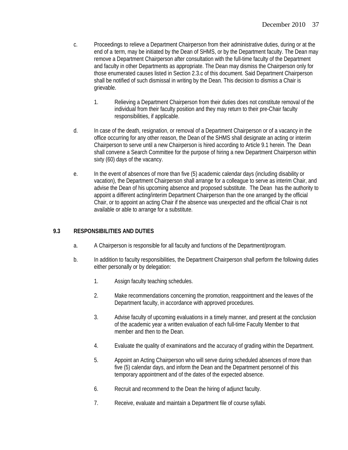- c. Proceedings to relieve a Department Chairperson from their administrative duties, during or at the end of a term, may be initiated by the Dean of SHMS, or by the Department faculty. The Dean may remove a Department Chairperson after consultation with the full-time faculty of the Department and faculty in other Departments as appropriate. The Dean may dismiss the Chairperson only for those enumerated causes listed in Section 2.3.c of this document. Said Department Chairperson shall be notified of such dismissal in writing by the Dean. This decision to dismiss a Chair is grievable.
	- 1. Relieving a Department Chairperson from their duties does not constitute removal of the individual from their faculty position and they may return to their pre-Chair faculty responsibilities, if applicable.
- d. In case of the death, resignation, or removal of a Department Chairperson or of a vacancy in the office occurring for any other reason, the Dean of the SHMS shall designate an acting or interim Chairperson to serve until a new Chairperson is hired according to Article 9.1 herein. The Dean shall convene a Search Committee for the purpose of hiring a new Department Chairperson within sixty (60) days of the vacancy.
- e. In the event of absences of more than five (5) academic calendar days (including disability or vacation), the Department Chairperson shall arrange for a colleague to serve as interim Chair, and advise the Dean of his upcoming absence and proposed substitute. The Dean has the authority to appoint a different acting/interim Department Chairperson than the one arranged by the official Chair, or to appoint an acting Chair if the absence was unexpected and the official Chair is not available or able to arrange for a substitute.

## **9.3 RESPONSIBILITIES AND DUTIES**

- a. A Chairperson is responsible for all faculty and functions of the Department/program.
- b. In addition to faculty responsibilities, the Department Chairperson shall perform the following duties either personally or by delegation:
	- 1. Assign faculty teaching schedules.
	- 2. Make recommendations concerning the promotion, reappointment and the leaves of the Department faculty, in accordance with approved procedures.
	- 3. Advise faculty of upcoming evaluations in a timely manner, and present at the conclusion of the academic year a written evaluation of each full-time Faculty Member to that member and then to the Dean.
	- 4. Evaluate the quality of examinations and the accuracy of grading within the Department.
	- 5. Appoint an Acting Chairperson who will serve during scheduled absences of more than five (5) calendar days, and inform the Dean and the Department personnel of this temporary appointment and of the dates of the expected absence.
	- 6. Recruit and recommend to the Dean the hiring of adjunct faculty.
	- 7. Receive, evaluate and maintain a Department file of course syllabi.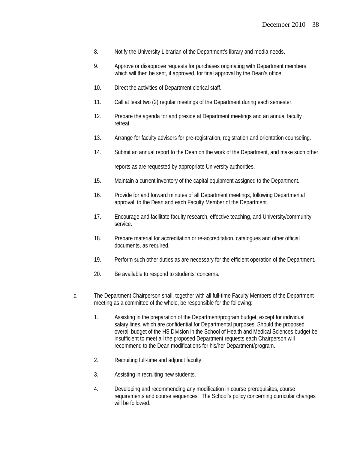- 8. Notify the University Librarian of the Department's library and media needs.
- 9. Approve or disapprove requests for purchases originating with Department members,which will then be sent, if approved, for final approval by the Dean's office.
- 10. Direct the activities of Department clerical staff.
- 11. Call at least two (2) regular meetings of the Department during each semester.
- 12. Prepare the agenda for and preside at Department meetings and an annual faculty retreat.
- 13. Arrange for faculty advisers for pre-registration, registration and orientation counseling.
- 14. Submit an annual report to the Dean on the work of the Department, and make such other

reports as are requested by appropriate University authorities.

- 15. Maintain a current inventory of the capital equipment assigned to the Department.
- 16. Provide for and forward minutes of all Department meetings, following Departmental approval, to the Dean and each Faculty Member of the Department.
- 17. Encourage and facilitate faculty research, effective teaching, and University/community service.
- 18. Prepare material for accreditation or re-accreditation, catalogues and other official documents, as required.
- 19. Perform such other duties as are necessary for the efficient operation of the Department.
- 20. Be available to respond to students' concerns.
- c. The Department Chairperson shall, together with all full-time Faculty Members of the Department meeting as a committee of the whole, be responsible for the following:
	- 1. Assisting in the preparation of the Department/program budget, except for individual salary lines, which are confidential for Departmental purposes. Should the proposed overall budget of the HS Division in the School of Health and Medical Sciences budget be insufficient to meet all the proposed Department requests each Chairperson will recommend to the Dean modifications for his/her Department/program.
	- 2. Recruiting full-time and adjunct faculty.
	- 3. Assisting in recruiting new students.
	- 4. Developing and recommending any modification in course prerequisites, course requirements and course sequences. The School's policy concerning curricular changes will be followed: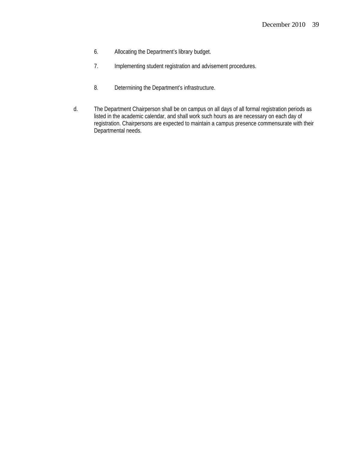- 6. Allocating the Department's library budget.
- 7. Implementing student registration and advisement procedures.
- 8. Determining the Department's infrastructure.
- d. The Department Chairperson shall be on campus on all days of all formal registration periods as listed in the academic calendar, and shall work such hours as are necessary on each day of registration. Chairpersons are expected to maintain a campus presence commensurate with their Departmental needs.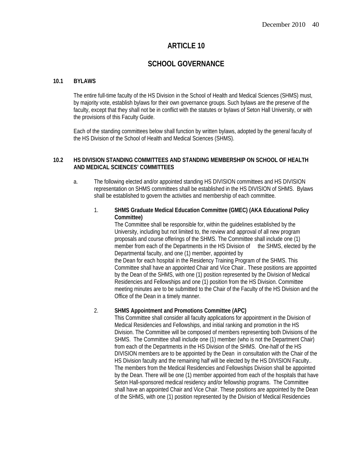# **SCHOOL GOVERNANCE**

#### **10.1 BYLAWS**

The entire full-time faculty of the HS Division in the School of Health and Medical Sciences (SHMS) must, by majority vote, establish bylaws for their own governance groups. Such bylaws are the preserve of the faculty, except that they shall not be in conflict with the statutes or bylaws of Seton Hall University, or with the provisions of this Faculty Guide.

Each of the standing committees below shall function by written bylaws, adopted by the general faculty of the HS Division of the School of Health and Medical Sciences (SHMS).

#### **10.2 HS DIVISION STANDING COMMITTEES AND STANDING MEMBERSHIP ON SCHOOL OF HEALTH AND MEDICAL SCIENCES' COMMITTEES**

- a. The following elected and/or appointed standing HS DIVISION committees and HS DIVISION representation on SHMS committees shall be established in the HS DIVISION of SHMS. Bylaws shall be established to govern the activities and membership of each committee.
	- 1. **SHMS Graduate Medical Education Committee (GMEC) (AKA Educational Policy Committee)**

The Committee shall be responsible for, within the guidelines established by the University, including but not limited to, the review and approval of all new program proposals and course offerings of the SHMS. The Committee shall include one (1) member from each of the Departments in the HS Division of the SHMS, elected by the Departmental faculty, and one (1) member, appointed by the Dean for each hospital in the Residency Training Program of the SHMS. This Committee shall have an appointed Chair and Vice Chair.. These positions are appointed by the Dean of the SHMS, with one (1) position represented by the Division of Medical Residencies and Fellowships and one (1) position from the HS Division. Committee

meeting minutes are to be submitted to the Chair of the Faculty of the HS Division and the

## 2. **SHMS Appointment and Promotions Committee (APC)**

Office of the Dean in a timely manner.

This Committee shall consider all faculty applications for appointment in the Division of Medical Residencies and Fellowships, and initial ranking and promotion in the HS Division. The Committee will be composed of members representing both Divisions of the SHMS. The Committee shall include one (1) member (who is not the Department Chair) from each of the Departments in the HS Division of the SHMS. One-half of the HS DIVISION members are to be appointed by the Dean in consultation with the Chair of the HS Division faculty and the remaining half will be elected by the HS DIVISION Faculty.. The members from the Medical Residencies and Fellowships Division shall be appointed by the Dean. There will be one (1) member appointed from each of the hospitals that have Seton Hall-sponsored medical residency and/or fellowship programs. The Committee shall have an appointed Chair and Vice Chair. These positions are appointed by the Dean of the SHMS, with one (1) position represented by the Division of Medical Residencies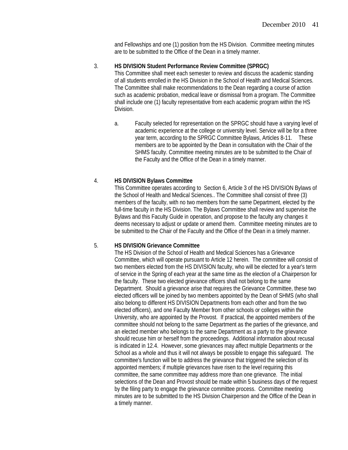and Fellowships and one (1) position from the HS Division. Committee meeting minutes are to be submitted to the Office of the Dean in a timely manner.

#### 3. **HS DIVISION Student Performance Review Committee (SPRGC)**

This Committee shall meet each semester to review and discuss the academic standing of all students enrolled in the HS Division in the School of Health and Medical Sciences. The Committee shall make recommendations to the Dean regarding a course of action such as academic probation, medical leave or dismissal from a program. The Committee shall include one (1) faculty representative from each academic program within the HS Division.

a. Faculty selected for representation on the SPRGC should have a varying level of academic experience at the college or university level. Service will be for a three year term, according to the SPRGC Committee Bylaws, Articles 8-11. These members are to be appointed by the Dean in consultation with the Chair of the SHMS faculty. Committee meeting minutes are to be submitted to the Chair of the Faculty and the Office of the Dean in a timely manner.

#### 4. **HS DIVISION Bylaws Committee**

This Committee operates according to Section 6, Article 3 of the HS DIVISION Bylaws of the School of Health and Medical Sciences.. The Committee shall consist of three (3) members of the faculty, with no two members from the same Department, elected by the full-time faculty in the HS Division. The Bylaws Committee shall review and supervise the Bylaws and this Faculty Guide in operation, and propose to the faculty any changes it deems necessary to adjust or update or amend them. Committee meeting minutes are to be submitted to the Chair of the Faculty and the Office of the Dean in a timely manner.

#### 5. **HS DIVISION Grievance Committee**

The HS Division of the School of Health and Medical Sciences has a Grievance Committee, which will operate pursuant to Article 12 herein. The committee will consist of two members elected from the HS DIVISION faculty, who will be elected for a year's term of service in the Spring of each year at the same time as the election of a Chairperson for the faculty. These two elected grievance officers shall not belong to the same Department. Should a grievance arise that requires the Grievance Committee, these two elected officers will be joined by two members appointed by the Dean of SHMS (who shall also belong to different HS DIVISION Departments from each other and from the two elected officers), and one Faculty Member from other schools or colleges within the University, who are appointed by the Provost. If practical, the appointed members of the committee should not belong to the same Department as the parties of the grievance, and an elected member who belongs to the same Department as a party to the grievance should recuse him or herself from the proceedings. Additional information about recusal is indicated in 12.4. However, some grievances may affect multiple Departments or the School as a whole and thus it will not always be possible to engage this safeguard. The committee's function will be to address the grievance that triggered the selection of its appointed members; if multiple grievances have risen to the level requiring this committee, the same committee may address more than one grievance. The initial selections of the Dean and Provost should be made within 5 business days of the request by the filing party to engage the grievance committee process. Committee meeting minutes are to be submitted to the HS Division Chairperson and the Office of the Dean in a timely manner.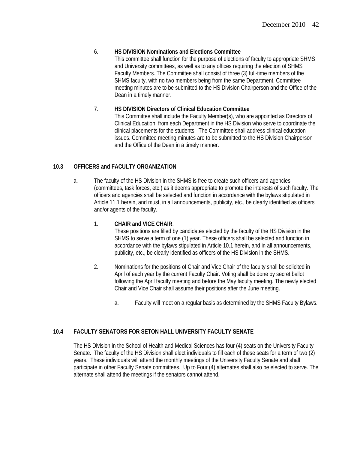## 6. **HS DIVISION Nominations and Elections Committee**

This committee shall function for the purpose of elections of faculty to appropriate SHMS and University committees, as well as to any offices requiring the election of SHMS Faculty Members. The Committee shall consist of three (3) full-time members of the SHMS faculty, with no two members being from the same Department. Committee meeting minutes are to be submitted to the HS Division Chairperson and the Office of the Dean in a timely manner.

## 7. **HS DIVISION Directors of Clinical Education Committee**

This Committee shall include the Faculty Member(s), who are appointed as Directors of Clinical Education, from each Department in the HS Division who serve to coordinate the clinical placements for the students. The Committee shall address clinical education issues. Committee meeting minutes are to be submitted to the HS Division Chairperson and the Office of the Dean in a timely manner.

## **10.3 OFFICERS and FACULTY ORGANIZATION**

a. The faculty of the HS Division in the SHMS is free to create such officers and agencies (committees, task forces, etc.) as it deems appropriate to promote the interests of such faculty. The officers and agencies shall be selected and function in accordance with the bylaws stipulated in Article 11.1 herein, and must, in all announcements, publicity, etc., be clearly identified as officers and/or agents of the faculty.

## 1. **CHAIR and VICE CHAIR**.

These positions are filled by candidates elected by the faculty of the HS Division in the SHMS to serve a term of one (1) year. These officers shall be selected and function in accordance with the bylaws stipulated in Article 10.1 herein, and in all announcements, publicity, etc., be clearly identified as officers of the HS Division in the SHMS.

- 2. Nominations for the positions of Chair and Vice Chair of the faculty shall be solicited in April of each year by the current Faculty Chair. Voting shall be done by secret ballot following the April faculty meeting and before the May faculty meeting. The newly elected Chair and Vice Chair shall assume their positions after the June meeting.
	- a. Faculty will meet on a regular basis as determined by the SHMS Faculty Bylaws.

## **10.4 FACULTY SENATORS FOR SETON HALL UNIVERSITY FACULTY SENATE**

 The HS Division in the School of Health and Medical Sciences has four (4) seats on the University Faculty Senate. The faculty of the HS Division shall elect individuals to fill each of these seats for a term of two (2) years. These individuals will attend the monthly meetings of the University Faculty Senate and shall participate in other Faculty Senate committees. Up to Four (4) alternates shall also be elected to serve. The alternate shall attend the meetings if the senators cannot attend.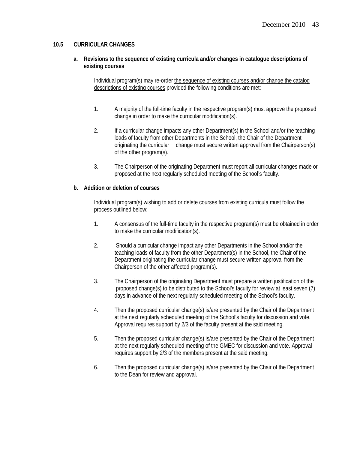#### **10.5 CURRICULAR CHANGES**

**a. Revisions to the sequence of existing curricula and/or changes in catalogue descriptions of existing courses** 

 Individual program(s) may re-order the sequence of existing courses and/or change the catalog descriptions of existing courses provided the following conditions are met:

- 1. A majority of the full-time faculty in the respective program(s) must approve the proposed change in order to make the curricular modification(s).
- 2. If a curricular change impacts any other Department(s) in the School and/or the teaching loads of faculty from other Departments in the School, the Chair of the Department originating the curricular change must secure written approval from the Chairperson(s) of the other program(s).
- 3. The Chairperson of the originating Department must report all curricular changes made or proposed at the next regularly scheduled meeting of the School's faculty.

#### **b. Addition or deletion of courses**

Individual program(s) wishing to add or delete courses from existing curricula must follow the process outlined below:

- 1. A consensus of the full-time faculty in the respective program(s) must be obtained in order to make the curricular modification(s).
- 2. Should a curricular change impact any other Departments in the School and/or the teaching loads of faculty from the other Department(s) in the School, the Chair of the Department originating the curricular change must secure written approval from the Chairperson of the other affected program(s).
- 3. The Chairperson of the originating Department must prepare a written justification of the proposed change(s) to be distributed to the School's faculty for review at least seven (7) days in advance of the next regularly scheduled meeting of the School's faculty.
- 4. Then the proposed curricular change(s) is/are presented by the Chair of the Department at the next regularly scheduled meeting of the School's faculty for discussion and vote. Approval requires support by 2/3 of the faculty present at the said meeting.
- 5. Then the proposed curricular change(s) is/are presented by the Chair of the Department at the next regularly scheduled meeting of the GMEC for discussion and vote. Approval requires support by 2/3 of the members present at the said meeting.
- 6. Then the proposed curricular change(s) is/are presented by the Chair of the Department to the Dean for review and approval.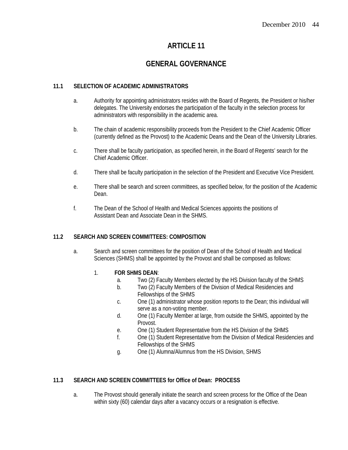# **GENERAL GOVERNANCE**

#### **11.1 SELECTION OF ACADEMIC ADMINISTRATORS**

- a. Authority for appointing administrators resides with the Board of Regents, the President or his/her delegates. The University endorses the participation of the faculty in the selection process for administrators with responsibility in the academic area.
- b. The chain of academic responsibility proceeds from the President to the Chief Academic Officer (currently defined as the Provost) to the Academic Deans and the Dean of the University Libraries.
- c. There shall be faculty participation, as specified herein, in the Board of Regents' search for the Chief Academic Officer.
- d. There shall be faculty participation in the selection of the President and Executive Vice President.
- e. There shall be search and screen committees, as specified below, for the position of the Academic Dean.
- f. The Dean of the School of Health and Medical Sciences appoints the positions of Assistant Dean and Associate Dean in the SHMS.

#### **11.2 SEARCH AND SCREEN COMMITTEES: COMPOSITION**

a. Search and screen committees for the position of Dean of the School of Health and Medical Sciences (SHMS) shall be appointed by the Provost and shall be composed as follows:

#### 1. **FOR SHMS DEAN**:

- a. Two (2) Faculty Members elected by the HS Division faculty of the SHMS
- b. Two (2) Faculty Members of the Division of Medical Residencies and Fellowships of the SHMS
- c. One (1) administrator whose position reports to the Dean; this individual will serve as a non-voting member.
- d. One (1) Faculty Member at large, from outside the SHMS, appointed by the Provost.
- e. One (1) Student Representative from the HS Division of the SHMS
- f. One (1) Student Representative from the Division of Medical Residencies and Fellowships of the SHMS
- g. One (1) Alumna/Alumnus from the HS Division, SHMS

#### **11.3 SEARCH AND SCREEN COMMITTEES for Office of Dean: PROCESS**

a. The Provost should generally initiate the search and screen process for the Office of the Dean within sixty (60) calendar days after a vacancy occurs or a resignation is effective.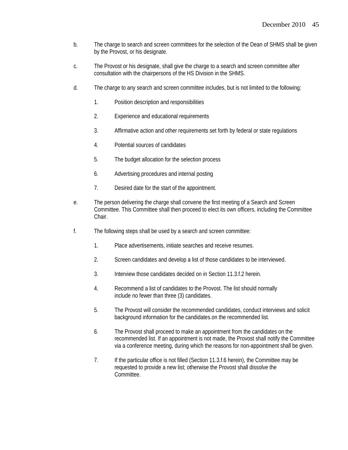- b. The charge to search and screen committees for the selection of the Dean of SHMS shall be given by the Provost, or his designate.
- c. The Provost or his designate, shall give the charge to a search and screen committee after consultation with the chairpersons of the HS Division in the SHMS.
- d. The charge to any search and screen committee includes, but is not limited to the following:
	- 1. Position description and responsibilities
	- 2. Experience and educational requirements
	- 3. Affirmative action and other requirements set forth by federal or state regulations
	- 4. Potential sources of candidates
	- 5. The budget allocation for the selection process
	- 6. Advertising procedures and internal posting
	- 7. Desired date for the start of the appointment.
- e. The person delivering the charge shall convene the first meeting of a Search and Screen Committee. This Committee shall then proceed to elect its own officers, including the Committee Chair.
- f. The following steps shall be used by a search and screen committee:
	- 1. Place advertisements, initiate searches and receive resumes.
	- 2. Screen candidates and develop a list of those candidates to be interviewed.
	- 3. Interview those candidates decided on in Section 11.3.f.2 herein.
	- 4. Recommend a list of candidates to the Provost. The list should normally include no fewer than three (3) candidates.
	- 5. The Provost will consider the recommended candidates, conduct interviews and solicit background information for the candidates.on the recommended list.
	- 6. The Provost shall proceed to make an appointment from the candidates on the recommended list. If an appointment is not made, the Provost shall notify the Committee via a conference meeting, during which the reasons for non-appointment shall be given.
	- 7. If the particular office is not filled (Section 11.3.f.6 herein), the Committee may be requested to provide a new list; otherwise the Provost shall dissolve the Committee.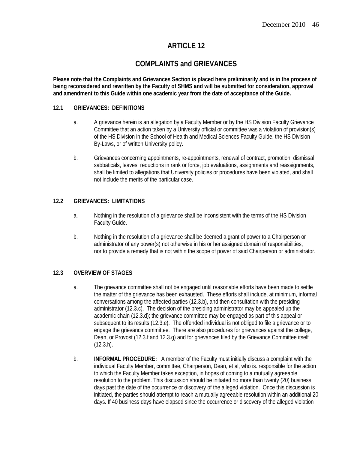# **COMPLAINTS and GRIEVANCES**

**Please note that the Complaints and Grievances Section is placed here preliminarily and is in the process of being reconsidered and rewritten by the Faculty of SHMS and will be submitted for consideration, approval and amendment to this Guide within one academic year from the date of acceptance of the Guide.** 

#### **12.1 GRIEVANCES: DEFINITIONS**

- a. A grievance herein is an allegation by a Faculty Member or by the HS Division Faculty Grievance Committee that an action taken by a University official or committee was a violation of provision(s) of the HS Division in the School of Health and Medical Sciences Faculty Guide, the HS Division By-Laws, or of written University policy.
- b. Grievances concerning appointments, re-appointments, renewal of contract, promotion, dismissal, sabbaticals, leaves, reductions in rank or force, job evaluations, assignments and reassignments, shall be limited to allegations that University policies or procedures have been violated, and shall not include the merits of the particular case.

#### **12.2 GRIEVANCES: LIMITATIONS**

- a. Nothing in the resolution of a grievance shall be inconsistent with the terms of the HS Division Faculty Guide.
- b. Nothing in the resolution of a grievance shall be deemed a grant of power to a Chairperson or administrator of any power(s) not otherwise in his or her assigned domain of responsibilities, nor to provide a remedy that is not within the scope of power of said Chairperson or administrator.

#### **12.3 OVERVIEW OF STAGES**

- a. The grievance committee shall not be engaged until reasonable efforts have been made to settle the matter of the grievance has been exhausted. These efforts shall include, at minimum, informal conversations among the affected parties (12.3.b), and then consultation with the presiding administrator (12.3.c). The decision of the presiding administrator may be appealed up the academic chain (12.3.d); the grievance committee may be engaged as part of this appeal or subsequent to its results (12.3.e). The offended individual is not obliged to file a grievance or to engage the grievance committee. There are also procedures for grievances against the college, Dean, or Provost (12.3.f and 12.3.g) and for grievances filed by the Grievance Committee itself (12.3.h).
- b. **INFORMAL PROCEDURE:** A member of the Faculty must initially discuss a complaint with the individual Faculty Member, committee, Chairperson, Dean, et al, who is. responsible for the action to which the Faculty Member takes exception, in hopes of coming to a mutually agreeable resolution to the problem. This discussion should be initiated no more than twenty (20) business days past the date of the occurrence or discovery of the alleged violation. Once this discussion is initiated, the parties should attempt to reach a mutually agreeable resolution within an additional 20 days. If 40 business days have elapsed since the occurrence or discovery of the alleged violation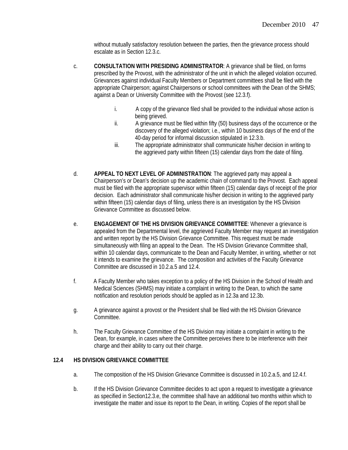without mutually satisfactory resolution between the parties, then the grievance process should escalate as in Section 12.3.c.

- c. **CONSULTATION WITH PRESIDING ADMINISTRATOR**: A grievance shall be filed, on forms prescribed by the Provost, with the administrator of the unit in which the alleged violation occurred. Grievances against individual Faculty Members or Department committees shall be filed with the appropriate Chairperson; against Chairpersons or school committees with the Dean of the SHMS; against a Dean or University Committee with the Provost (see 12.3.f).
	- i. A copy of the grievance filed shall be provided to the individual whose action is being grieved.
	- ii. A grievance must be filed within fifty (50) business days of the occurrence or the discovery of the alleged violation; i.e., within 10 business days of the end of the 40-day period for informal discussion stipulated in 12.3.b.
	- iii. The appropriate administrator shall communicate his/her decision in writing to the aggrieved party within fifteen (15) calendar days from the date of filing.
- d. **APPEAL TO NEXT LEVEL OF ADMINISTRATION**: The aggrieved party may appeal a Chairperson's or Dean's decision up the academic chain of command to the Provost. Each appeal must be filed with the appropriate supervisor within fifteen (15) calendar days of receipt of the prior decision. Each administrator shall communicate his/her decision in writing to the aggrieved party within fifteen (15) calendar days of filing, unless there is an investigation by the HS Division Grievance Committee as discussed below.
- e. **ENGAGEMENT OF THE HS DIVISION GRIEVANCE COMMITTEE**: Whenever a grievance is appealed from the Departmental level, the aggrieved Faculty Member may request an investigation and written report by the HS Division Grievance Committee. This request must be made simultaneously with filing an appeal to the Dean. The HS Division Grievance Committee shall, within 10 calendar days, communicate to the Dean and Faculty Member, in writing, whether or not it intends to examine the grievance. The composition and activities of the Faculty Grievance Committee are discussed in 10.2.a.5 and 12.4.
- f. A Faculty Member who takes exception to a policy of the HS Division in the School of Health and Medical Sciences (SHMS) may initiate a complaint in writing to the Dean, to which the same notification and resolution periods should be applied as in 12.3a and 12.3b.
- g. A grievance against a provost or the President shall be filed with the HS Division Grievance Committee.
- h. The Faculty Grievance Committee of the HS Division may initiate a complaint in writing to the Dean, for example, in cases where the Committee perceives there to be interference with their charge and their ability to carry out their charge.

## **12.4 HS DIVISION GRIEVANCE COMMITTEE**

- a. The composition of the HS Division Grievance Committee is discussed in 10.2.a.5, and 12.4.f.
- b. If the HS Division Grievance Committee decides to act upon a request to investigate a grievance as specified in Section12.3.e, the committee shall have an additional two months within which to investigate the matter and issue its report to the Dean, in writing. Copies of the report shall be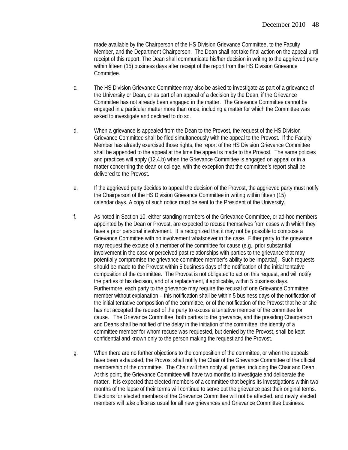made available by the Chairperson of the HS Division Grievance Committee, to the Faculty Member, and the Department Chairperson. The Dean shall not take final action on the appeal until receipt of this report. The Dean shall communicate his/her decision in writing to the aggrieved party within fifteen (15) business days after receipt of the report from the HS Division Grievance Committee.

- c. The HS Division Grievance Committee may also be asked to investigate as part of a grievance of the University or Dean, or as part of an appeal of a decision by the Dean, if the Grievance Committee has not already been engaged in the matter. The Grievance Committee cannot be engaged in a particular matter more than once, including a matter for which the Committee was asked to investigate and declined to do so.
- d. When a grievance is appealed from the Dean to the Provost, the request of the HS Division Grievance Committee shall be filed simultaneously with the appeal to the Provost. If the Faculty Member has already exercised those rights, the report of the HS Division Grievance Committee shall be appended to the appeal at the time the appeal is made to the Provost. The same policies and practices will apply (12.4.b) when the Grievance Committee is engaged on appeal or in a matter concerning the dean or college, with the exception that the committee's report shall be delivered to the Provost.
- e. If the aggrieved party decides to appeal the decision of the Provost, the aggrieved party must notify the Chairperson of the HS Division Grievance Committee in writing within fifteen (15) calendar days. A copy of such notice must be sent to the President of the University.
- f. As noted in Section 10, either standing members of the Grievance Committee, or ad-hoc members appointed by the Dean or Provost, are expected to recuse themselves from cases with which they have a prior personal involvement. It is recognized that it may not be possible to compose a Grievance Committee with no involvement whatsoever in the case. Either party to the grievance may request the excuse of a member of the committee for cause (e.g., prior substantial involvement in the case or perceived past relationships with parties to the grievance that may potentially compromise the grievance committee member's ability to be impartial). Such requests should be made to the Provost within 5 business days of the notification of the initial tentative composition of the committee. The Provost is not obligated to act on this request, and will notify the parties of his decision, and of a replacement, if applicable, within 5 business days. Furthermore, each party to the grievance may require the recusal of one Grievance Committee member without explanation – this notification shall be within 5 business days of the notification of the initial tentative composition of the committee, or of the notification of the Provost that he or she has not accepted the request of the party to excuse a tentative member of the committee for cause. The Grievance Committee, both parties to the grievance, and the presiding Chairperson and Deans shall be notified of the delay in the initiation of the committee; the identity of a committee member for whom recuse was requested, but denied by the Provost, shall be kept confidential and known only to the person making the request and the Provost.
- g. When there are no further objections to the composition of the committee, or when the appeals have been exhausted, the Provost shall notify the Chair of the Grievance Committee of the official membership of the committee. The Chair will then notify all parties, including the Chair and Dean. At this point, the Grievance Committee will have two months to investigate and deliberate the matter. It is expected that elected members of a committee that begins its investigations within two months of the lapse of their terms will continue to serve out the grievance past their original terms. Elections for elected members of the Grievance Committee will not be affected, and newly elected members will take office as usual for all new grievances and Grievance Committee business.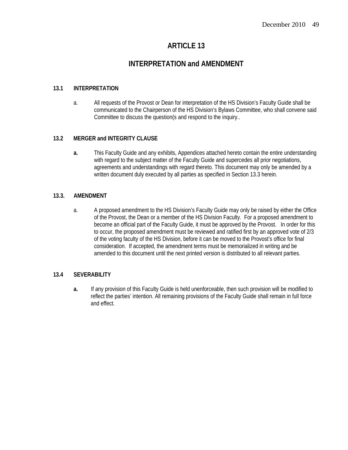# **INTERPRETATION and AMENDMENT**

#### **13.1 INTERPRETATION**

a. All requests of the Provost or Dean for interpretation of the HS Division's Faculty Guide shall be communicated to the Chairperson of the HS Division's Bylaws Committee, who shall convene said Committee to discuss the question(s and respond to the inquiry..

#### **13.2 MERGER and INTEGRITY CLAUSE**

**a.** This Faculty Guide and any exhibits, Appendices attached hereto contain the entire understanding with regard to the subject matter of the Faculty Guide and supercedes all prior negotiations, agreements and understandings with regard thereto. This document may only be amended by a written document duly executed by all parties as specified in Section 13.3 herein.

#### **13.3. AMENDMENT**

a. A proposed amendment to the HS Division's Faculty Guide may only be raised by either the Office of the Provost, the Dean or a member of the HS Division Faculty. For a proposed amendment to become an official part of the Faculty Guide, it must be approved by the Provost. In order for this to occur, the proposed amendment must be reviewed and ratified first by an approved vote of 2/3 of the voting faculty of the HS Division, before it can be moved to the Provost's office for final consideration. If accepted, the amendment terms must be memorialized in writing and be amended to this document until the next printed version is distributed to all relevant parties.

#### **13.4 SEVERABILITY**

**a.** If any provision of this Faculty Guide is held unenforceable, then such provision will be modified to reflect the parties' intention. All remaining provisions of the Faculty Guide shall remain in full force and effect.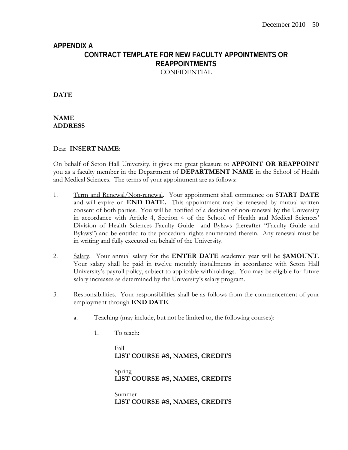# **APPENDIX A CONTRACT TEMPLATE FOR NEW FACULTY APPOINTMENTS OR REAPPOINTMENTS** CONFIDENTIAL

**DATE** 

**NAME ADDRESS** 

## Dear **INSERT NAME**:

On behalf of Seton Hall University, it gives me great pleasure to **APPOINT OR REAPPOINT** you as a faculty member in the Department of **DEPARTMENT NAME** in the School of Health and Medical Sciences. The terms of your appointment are as follows:

- 1. Term and Renewal/Non-renewal. Your appointment shall commence on **START DATE**  and will expire on **END DATE.** This appointment may be renewed by mutual written consent of both parties. You will be notified of a decision of non-renewal by the University in accordance with Article 4, Section 4 of the School of Health and Medical Sciences' Division of Health Sciences Faculty Guide and Bylaws (hereafter "Faculty Guide and Bylaws") and be entitled to the procedural rights enumerated therein. Any renewal must be in writing and fully executed on behalf of the University.
- 2. Salary. Your annual salary for the **ENTER DATE** academic year will be \$**AMOUNT**. Your salary shall be paid in twelve monthly installments in accordance with Seton Hall University's payroll policy, subject to applicable withholdings. You may be eligible for future salary increases as determined by the University's salary program.
- 3. Responsibilities. Your responsibilities shall be as follows from the commencement of your employment through **END DATE**.
	- a. Teaching (may include, but not be limited to, the following courses):
		- 1. To teach**:**

 Fall **LIST COURSE #S, NAMES, CREDITS** 

 Spring **LIST COURSE #S, NAMES, CREDITS** 

 Summer **LIST COURSE #S, NAMES, CREDITS**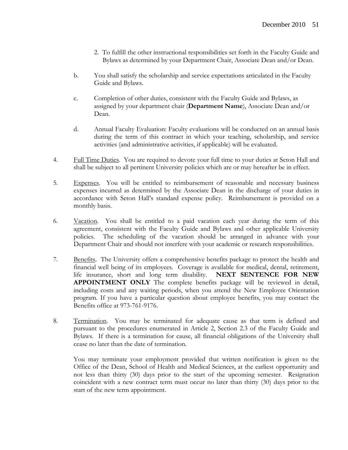- 2. To fulfill the other instructional responsibilities set forth in the Faculty Guide and Bylaws as determined by your Department Chair, Associate Dean and/or Dean.
- b. You shall satisfy the scholarship and service expectations articulated in the Faculty Guide and Bylaws.
- c. Completion of other duties, consistent with the Faculty Guide and Bylaws, as assigned by your department chair (**Department Name**), Associate Dean and/or Dean.
- d. Annual Faculty Evaluation: Faculty evaluations will be conducted on an annual basis during the term of this contract in which your teaching, scholarship, and service activities (and administrative activities, if applicable) will be evaluated.
- 4. Full Time Duties. You are required to devote your full time to your duties at Seton Hall and shall be subject to all pertinent University policies which are or may hereafter be in effect.
- 5. Expenses. You will be entitled to reimbursement of reasonable and necessary business expenses incurred as determined by the Associate Dean in the discharge of your duties in accordance with Seton Hall's standard expense policy. Reimbursement is provided on a monthly basis.
- 6. Vacation. You shall be entitled to a paid vacation each year during the term of this agreement, consistent with the Faculty Guide and Bylaws and other applicable University policies. The scheduling of the vacation should be arranged in advance with your Department Chair and should not interfere with your academic or research responsibilities.
- 7. Benefits. The University offers a comprehensive benefits package to protect the health and financial well being of its employees. Coverage is available for medical, dental, retirement, life insurance, short and long term disability. **NEXT SENTENCE FOR NEW APPOINTMENT ONLY** The complete benefits package will be reviewed in detail, including costs and any waiting periods, when you attend the New Employee Orientation program. If you have a particular question about employee benefits, you may contact the Benefits office at 973-761-9176.
- 8. Termination. You may be terminated for adequate cause as that term is defined and pursuant to the procedures enumerated in Article 2, Section 2.3 of the Faculty Guide and Bylaws. If there is a termination for cause, all financial obligations of the University shall cease no later than the date of termination.

You may terminate your employment provided that written notification is given to the Office of the Dean, School of Health and Medical Sciences, at the earliest opportunity and not less than thirty (30) days prior to the start of the upcoming semester. Resignation coincident with a new contract term must occur no later than thirty (30) days prior to the start of the new term appointment.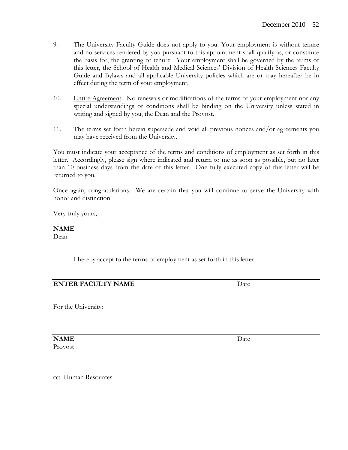- 9. The University Faculty Guide does not apply to you. Your employment is without tenure and no services rendered by you pursuant to this appointment shall qualify as, or constitute the basis for, the granting of tenure. Your employment shall be governed by the terms of this letter, the School of Health and Medical Sciences' Division of Health Sciences Faculty Guide and Bylaws and all applicable University policies which are or may hereafter be in effect during the term of your employment.
- 10. Entire Agreement. No renewals or modifications of the terms of your employment nor any special understandings or conditions shall be binding on the University unless stated in writing and signed by you, the Dean and the Provost.
- 11. The terms set forth herein supersede and void all previous notices and/or agreements you may have received from the University.

You must indicate your acceptance of the terms and conditions of employment as set forth in this letter. Accordingly, please sign where indicated and return to me as soon as possible, but no later than 10 business days from the date of this letter. One fully executed copy of this letter will be returned to you.

Once again, congratulations. We are certain that you will continue to serve the University with honor and distinction.

Very truly yours,

#### **NAME**

Dean

I hereby accept to the terms of employment as set forth in this letter.

## **ENTER FACULTY NAME** Date

For the University:

**NAME** Date Provost

cc: Human Resources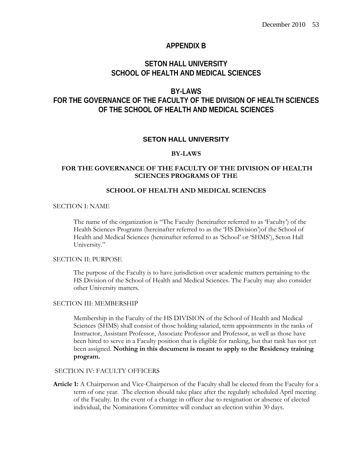#### **APPENDIX B**

# **SETON HALL UNIVERSITY SCHOOL OF HEALTH AND MEDICAL SCIENCES**

# **BY-LAWS FOR THE GOVERNANCE OF THE FACULTY OF THE DIVISION OF HEALTH SCIENCES OF THE SCHOOL OF HEALTH AND MEDICAL SCIENCES**

#### **SETON HALL UNIVERSITY**

#### **BY-LAWS**

#### **FOR THE GOVERNANCE OF THE FACULTY OF THE DIVISION OF HEALTH SCIENCES PROGRAMS OF THE**

#### **SCHOOL OF HEALTH AND MEDICAL SCIENCES**

#### SECTION I: NAME

The name of the organization is "The Faculty (hereinafter referred to as 'Faculty') of the Health Sciences Programs (hereinafter referred to as the 'HS Division')of the School of Health and Medical Sciences (hereinafter referred to as 'School' or 'SHMS'), Seton Hall University."

#### SECTION II: PURPOSE

The purpose of the Faculty is to have jurisdiction over academic matters pertaining to the HS Division of the School of Health and Medical Sciences. The Faculty may also consider other University matters.

#### SECTION III: MEMBERSHIP

Membership in the Faculty of the HS DIVISION of the School of Health and Medical Sciences (SHMS) shall consist of those holding salaried, term appointments in the ranks of Instructor, Assistant Professor, Associate Professor and Professor, as well as those have been hired to serve in a Faculty position that is eligible for ranking, but that rank has not yet been assigned. **Nothing in this document is meant to apply to the Residency training program.** 

#### SECTION IV<sup>.</sup> FACULTY OFFICERS

**Article 1:** A Chairperson and Vice-Chairperson of the Faculty shall be elected from the Faculty for a term of one year. The election should take place after the regularly scheduled April meeting of the Faculty. In the event of a change in officer due to resignation or absence of elected individual, the Nominations Committee will conduct an election within 30 days.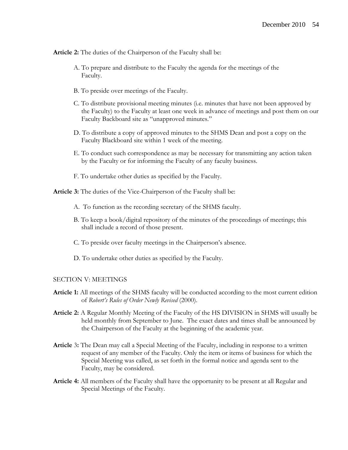**Article 2:** The duties of the Chairperson of the Faculty shall be:

- A. To prepare and distribute to the Faculty the agenda for the meetings of the Faculty.
- B. To preside over meetings of the Faculty.
- C. To distribute provisional meeting minutes (i.e. minutes that have not been approved by the Faculty) to the Faculty at least one week in advance of meetings and post them on our Faculty Backboard site as "unapproved minutes."
- D. To distribute a copy of approved minutes to the SHMS Dean and post a copy on the Faculty Blackboard site within 1 week of the meeting.
- E. To conduct such correspondence as may be necessary for transmitting any action taken by the Faculty or for informing the Faculty of any faculty business.
- F. To undertake other duties as specified by the Faculty.

**Article 3:** The duties of the Vice-Chairperson of the Faculty shall be:

- A. To function as the recording secretary of the SHMS faculty.
- B. To keep a book/digital repository of the minutes of the proceedings of meetings; this shall include a record of those present.
- C. To preside over faculty meetings in the Chairperson's absence.
- D. To undertake other duties as specified by the Faculty.

#### SECTION V: MEETINGS

- **Article 1:** All meetings of the SHMS faculty will be conducted according to the most current edition of *Robert's Rules of Order Newly Revised* (2000).
- **Article 2:** A Regular Monthly Meeting of the Faculty of the HS DIVISION in SHMS will usually be held monthly from September to June. The exact dates and times shall be announced by the Chairperson of the Faculty at the beginning of the academic year.
- **Article** 3**:** The Dean may call a Special Meeting of the Faculty, including in response to a written request of any member of the Faculty. Only the item or items of business for which the Special Meeting was called, as set forth in the formal notice and agenda sent to the Faculty, may be considered.
- **Article 4:** All members of the Faculty shall have the opportunity to be present at all Regular and Special Meetings of the Faculty.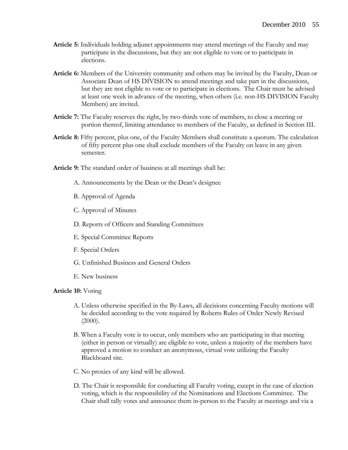- **Article 5:** Individuals holding adjunct appointments may attend meetings of the Faculty and may participate in the discussions, but they are not eligible to vote or to participate in elections.
- **Article 6:** Members of the University community and others may be invited by the Faculty, Dean or Associate Dean of HS DIVISION to attend meetings and take part in the discussions, but they are not eligible to vote or to participate in elections. The Chair must be advised at least one week in advance of the meeting, when others (i.e. non-HS DIVISION Faculty Members) are invited.
- **Article 7:** The Faculty reserves the right, by two-thirds vote of members, to close a meeting or portion thereof, limiting attendance to members of the Faculty, as defined in Section III.
- **Article 8:** Fifty percent, plus one, of the Faculty Members shall constitute a quorum. The calculation of fifty percent plus one shall exclude members of the Faculty on leave in any given semester.
- **Article 9:** The standard order of business at all meetings shall be:
	- A. Announcements by the Dean or the Dean's designee
	- B. Approval of Agenda
	- C. Approval of Minutes
	- D. Reports of Officers and Standing Committees
	- E. Special Committee Reports
	- F. Special Orders
	- G. Unfinished Business and General Orders
	- E. New business

#### **Article 10:** Voting

- A. Unless otherwise specified in the By-Laws, all decisions concerning Faculty motions will be decided according to the vote required by Roberts Rules of Order Newly Revised  $(2000).$
- B. When a Faculty vote is to occur, only members who are participating in that meeting (either in person or virtually) are eligible to vote, unless a majority of the members have approved a motion to conduct an anonymous, virtual vote utilizing the Faculty Blackboard site.
- C. No proxies of any kind will be allowed.
- D. The Chair is responsible for conducting all Faculty voting, except in the case of election voting, which is the responsibility of the Nominations and Elections Committee. The Chair shall tally votes and announce them in-person to the Faculty at meetings and via a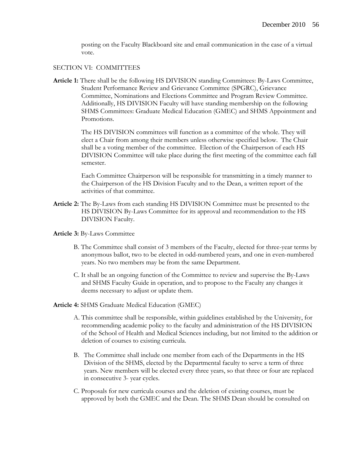posting on the Faculty Blackboard site and email communication in the case of a virtual vote.

#### SECTION VI: COMMITTEES

**Article 1:** There shall be the following HS DIVISION standing Committees: By-Laws Committee, Student Performance Review and Grievance Committee (SPGRC), Grievance Committee, Nominations and Elections Committee and Program Review Committee. Additionally, HS DIVISION Faculty will have standing membership on the following SHMS Committees: Graduate Medical Education (GMEC) and SHMS Appointment and Promotions.

> The HS DIVISION committees will function as a committee of the whole. They will elect a Chair from among their members unless otherwise specified below. The Chair shall be a voting member of the committee. Election of the Chairperson of each HS DIVISION Committee will take place during the first meeting of the committee each fall semester.

Each Committee Chairperson will be responsible for transmitting in a timely manner to the Chairperson of the HS Division Faculty and to the Dean, a written report of the activities of that committee.

**Article 2:** The By-Laws from each standing HS DIVISION Committee must be presented to the HS DIVISION By-Laws Committee for its approval and recommendation to the HS DIVISION Faculty.

#### **Article 3:** By-Laws Committee

- B. The Committee shall consist of 3 members of the Faculty, elected for three-year terms by anonymous ballot, two to be elected in odd-numbered years, and one in even-numbered years. No two members may be from the same Department.
- C. It shall be an ongoing function of the Committee to review and supervise the By-Laws and SHMS Faculty Guide in operation, and to propose to the Faculty any changes it deems necessary to adjust or update them.

#### **Article 4:** SHMS Graduate Medical Education (GMEC)

- A. This committee shall be responsible, within guidelines established by the University, for recommending academic policy to the faculty and administration of the HS DIVISION of the School of Health and Medical Sciences including, but not limited to the addition or deletion of courses to existing curricula.
- B. The Committee shall include one member from each of the Departments in the HS Division of the SHMS, elected by the Departmental faculty to serve a term of three years. New members will be elected every three years, so that three or four are replaced in consecutive 3- year cycles.
- C. Proposals for new curricula courses and the deletion of existing courses, must be approved by both the GMEC and the Dean. The SHMS Dean should be consulted on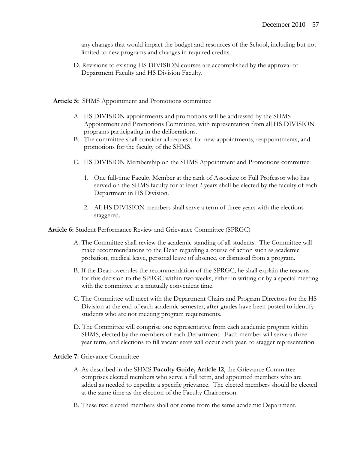any changes that would impact the budget and resources of the School, including but not limited to new programs and changes in required credits.

D. Revisions to existing HS DIVISION courses are accomplished by the approval of Department Faculty and HS Division Faculty.

**Article 5:** SHMS Appointment and Promotions committee

- A. HS DIVISION appointments and promotions will be addressed by the SHMS Appointment and Promotions Committee, with representation from all HS DIVISION programs participating in the deliberations.
- B. The committee shall consider all requests for new appointments, reappointments, and promotions for the faculty of the SHMS.
- C. HS DIVISION Membership on the SHMS Appointment and Promotions committee:
	- 1. One full-time Faculty Member at the rank of Associate or Full Professor who has served on the SHMS faculty for at least 2 years shall be elected by the faculty of each Department in HS Division.
	- 2. All HS DIVISION members shall serve a term of three years with the elections staggered.

**Article 6:** Student Performance Review and Grievance Committee (SPRGC)

- A. The Committee shall review the academic standing of all students. The Committee will make recommendations to the Dean regarding a course of action such as academic probation, medical leave, personal leave of absence, or dismissal from a program.
- B. If the Dean overrules the recommendation of the SPRGC, he shall explain the reasons for this decision to the SPRGC within two weeks, either in writing or by a special meeting with the committee at a mutually convenient time.
- C. The Committee will meet with the Department Chairs and Program Directors for the HS Division at the end of each academic semester, after grades have been posted to identify students who are not meeting program requirements.
- D. The Committee will comprise one representative from each academic program within SHMS, elected by the members of each Department. Each member will serve a threeyear term, and elections to fill vacant seats will occur each year, to stagger representation.

**Article 7:** Grievance Committee

- A. As described in the SHMS **Faculty Guide, Article 12**, the Grievance Committee comprises elected members who serve a full term, and appointed members who are added as needed to expedite a specific grievance. The elected members should be elected at the same time as the election of the Faculty Chairperson.
- B. These two elected members shall not come from the same academic Department.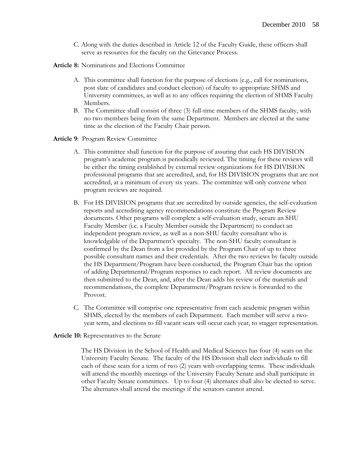- C. Along with the duties described in Article 12 of the Faculty Guide, these officers shall serve as resources for the faculty on the Grievance Process.
- **Article 8:** Nominations and Elections Committee
	- A. This committee shall function for the purpose of elections (e.g., call for nominations, post slate of candidates and conduct election) of faculty to appropriate SHMS and University committees, as well as to any offices requiring the election of SHMS Faculty Members.
	- B. The Committee shall consist of three (3) full-time members of the SHMS faculty, with no two members being from the same Department. Members are elected at the same time as the election of the Faculty Chair person.
- **Article 9**: Program Review Committee
	- A. This committee shall function for the purpose of assuring that each HS DIVISION program's academic program is periodically reviewed. The timing for these reviews will be either the timing established by external review organizations for HS DIVISION professional programs that are accredited, and, for HS DIVISION programs that are not accredited, at a minimum of every six years. The committee will only convene when program reviews are required.
	- B. For HS DIVISION programs that are accredited by outside agencies, the self-evaluation reports and accrediting agency recommendations constitute the Program Review documents. Other programs will complete a self-evaluation study, secure an SHU Faculty Member (i.e. a Faculty Member outside the Department) to conduct an independent program review, as well as a non-SHU faculty consultant who is knowledgable of the Department's specialty. The non-SHU faculty consultant is confirmed by the Dean from a list provided by the Program Chair of up to three possible consultant names and their credentials. After the two reviews by faculty outside the HS Department/Program have been conducted, the Program Chair has the option of adding Departmental/Program responses to each report. All review documents are then submitted to the Dean, and, after the Dean adds his review of the materials and recommendations, the complete Deparatment/Program review is forwarded to the Provost.
	- C. The Committee will comprise one representative from each academic program within SHMS, elected by the members of each Department. Each member will serve a twoyear term, and elections to fill vacant seats will occur each year, to stagger representation.

#### **Article 10:** Representatives to the Senate

The HS Division in the School of Health and Medical Sciences has four (4) seats on the University Faculty Senate. The faculty of the HS Division shall elect individuals to fill each of these seats for a term of two (2) years with overlapping terms. These individuals will attend the monthly meetings of the University Faculty Senate and shall participate in other Faculty Senate committees. Up to four (4) alternates shall also be elected to serve. The alternates shall attend the meetings if the senators cannot attend.